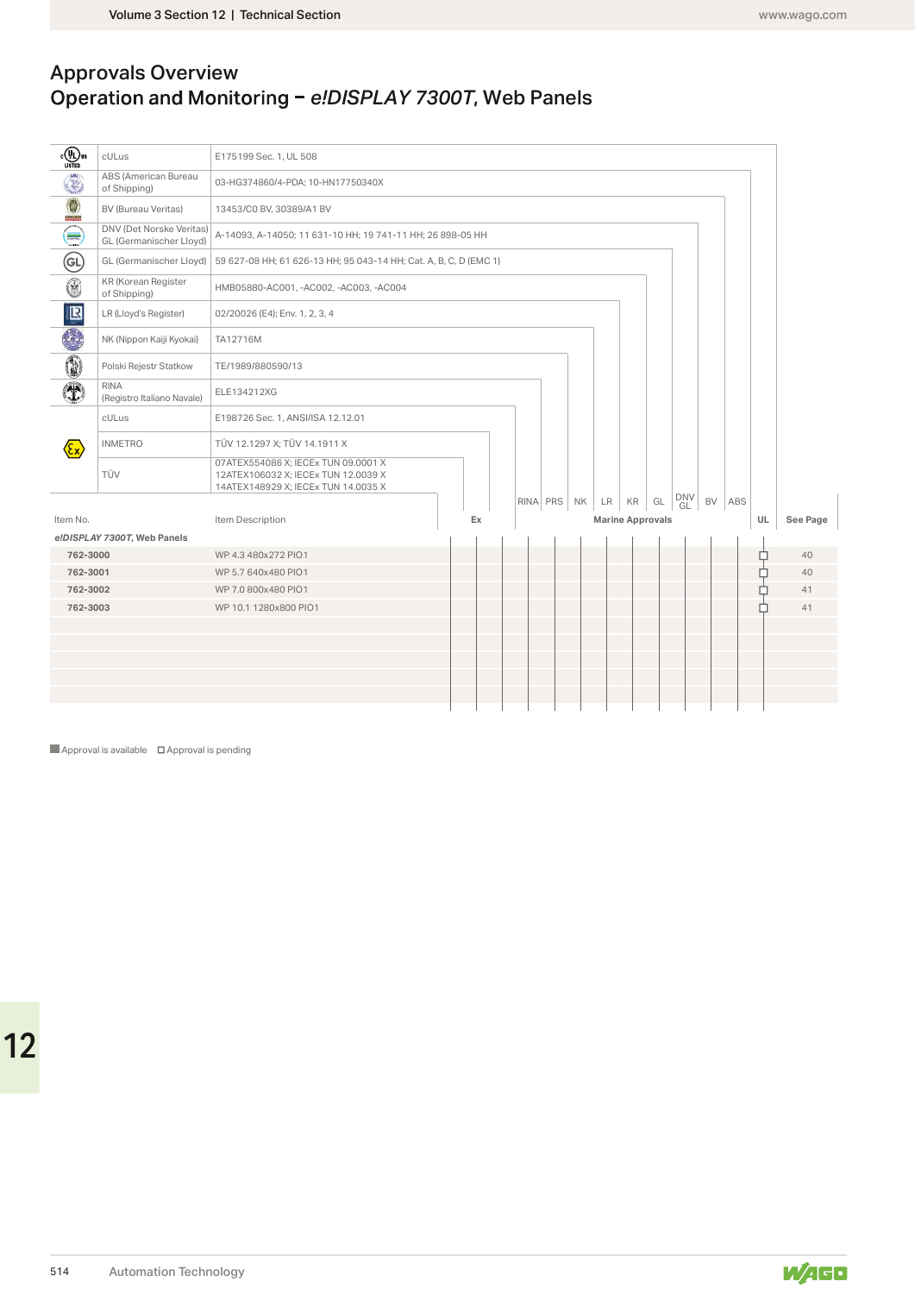#### Approvals Overview e!DISPLAY 7300T, Web Panels

|                                                                                           |                                                     | Volume 3 Section 12   Technical Section                                                                           |    |  |             |           |                               |                                |        |    | www.wago.com |
|-------------------------------------------------------------------------------------------|-----------------------------------------------------|-------------------------------------------------------------------------------------------------------------------|----|--|-------------|-----------|-------------------------------|--------------------------------|--------|----|--------------|
|                                                                                           | <b>Approvals Overview</b>                           | Operation and Monitoring - e!DISPLAY 7300T, Web Panels                                                            |    |  |             |           |                               |                                |        |    |              |
| $\begin{matrix} \cdot & \sqrt{0} \\ \cdot & \sqrt{0} \\ \sqrt{0} & \sqrt{0} \end{matrix}$ | cULus                                               | E175199 Sec. 1, UL 508                                                                                            |    |  |             |           |                               |                                |        |    |              |
| ٥                                                                                         | ABS (American Bureau<br>of Shipping)                | 03-HG374860/4-PDA; 10-HN17750340X                                                                                 |    |  |             |           |                               |                                |        |    |              |
| $^{\circ}$                                                                                | BV (Bureau Veritas)                                 | 13453/C0 BV, 30389/A1 BV                                                                                          |    |  |             |           |                               |                                |        |    |              |
| $\left(\frac{1}{2},\frac{1}{2}\right)$                                                    | DNV (Det Norske Veritas)<br>GL (Germanischer Lloyd) | A-14093, A-14050; 11 631-10 HH; 19 741-11 HH; 26 898-05 HH                                                        |    |  |             |           |                               |                                |        |    |              |
| $\bigcirc$                                                                                | GL (Germanischer Lloyd)                             | 59 627-08 HH; 61 626-13 HH; 95 043-14 HH; Cat. A, B, C, D (EMC 1)                                                 |    |  |             |           |                               |                                |        |    |              |
| ۳                                                                                         | KR (Korean Register<br>of Shipping)                 | HMB05880-AC001, -AC002, -AC003, -AC004                                                                            |    |  |             |           |                               |                                |        |    |              |
| $\blacksquare$                                                                            | LR (Lloyd's Register)                               | 02/20026 (E4); Env. 1, 2, 3, 4                                                                                    |    |  |             |           |                               |                                |        |    |              |
| O                                                                                         | NK (Nippon Kaiji Kyokai)                            | TA12716M                                                                                                          |    |  |             |           |                               |                                |        |    |              |
| 0                                                                                         | Polski Rejestr Statkow                              | TE/1989/880590/13                                                                                                 |    |  |             |           |                               |                                |        |    |              |
| $\mathbf{T}$                                                                              | <b>RINA</b><br>(Registro Italiano Navale)           | ELE134212XG                                                                                                       |    |  |             |           |                               |                                |        |    |              |
|                                                                                           | cULus                                               | E198726 Sec. 1, ANSI/ISA 12.12.01                                                                                 |    |  |             |           |                               |                                |        |    |              |
| $\langle \! \! \! \infty \rangle$                                                         | <b>INMETRO</b>                                      | TÜV 12.1297 X; TÜV 14.1911 X                                                                                      |    |  |             |           |                               |                                |        |    |              |
|                                                                                           | TÜV                                                 | 07ATEX554086 X; IECEx TUN 09.0001 X<br>12ATEX106032 X; IECEx TUN 12.0039 X<br>14ATEX148929 X; IECEx TUN 14.0035 X |    |  |             |           |                               |                                |        |    |              |
| Item No.                                                                                  |                                                     | Item Description                                                                                                  | Ex |  | RINA PRS NK | $LR$ $KR$ | GL<br><b>Marine Approvals</b> | $\ensuremath{\mathsf{DNV}}$ GL | BV ABS | UL | See Page     |
|                                                                                           | elDISPLAY 7300T, Web Panels                         |                                                                                                                   |    |  |             |           |                               |                                |        |    |              |
| 762-3000                                                                                  |                                                     | WP 4.3 480x272 PIO1                                                                                               |    |  |             |           |                               |                                |        | □  | 40           |
| 762-3001                                                                                  |                                                     | WP 5.7 640x480 PIO1                                                                                               |    |  |             |           |                               |                                |        | ◻  | 40           |
| 762-3002                                                                                  |                                                     | WP 7.0 800x480 PIO1                                                                                               |    |  |             |           |                               |                                |        | ▭  | 41           |
| 762-3003                                                                                  |                                                     | WP 10.1 1280x800 PIO1                                                                                             |    |  |             |           |                               |                                |        | п  | 41           |
|                                                                                           |                                                     |                                                                                                                   |    |  |             |           |                               |                                |        |    |              |
|                                                                                           |                                                     |                                                                                                                   |    |  |             |           |                               |                                |        |    |              |
|                                                                                           |                                                     |                                                                                                                   |    |  |             |           |                               |                                |        |    |              |
|                                                                                           |                                                     |                                                                                                                   |    |  |             |           |                               |                                |        |    |              |
|                                                                                           |                                                     |                                                                                                                   |    |  |             |           |                               |                                |        |    |              |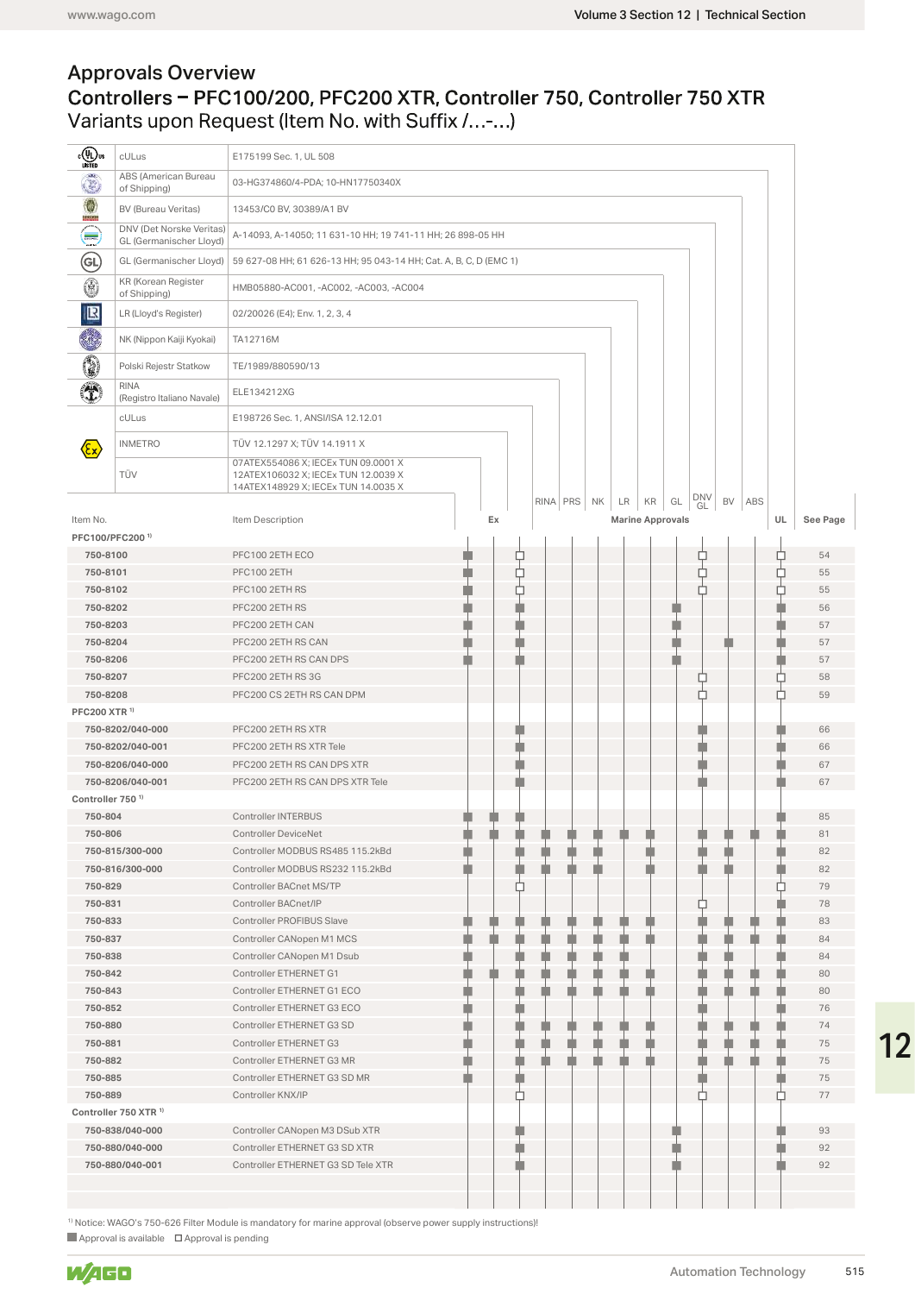## Approvals Overview Controllers - PFC100/200, PFC200 XTR, Controller 750, Controller 750 XTR<br>Variants upon Request (Item No. with Suffix /...-...)

| $c$ (U) us<br>Listed              | cULus                                               | E175199 Sec. 1, UL 508                                                                                            |    |   |                                |                         |                                                                  |        |          |
|-----------------------------------|-----------------------------------------------------|-------------------------------------------------------------------------------------------------------------------|----|---|--------------------------------|-------------------------|------------------------------------------------------------------|--------|----------|
| $\ddot{\odot}$                    | ABS (American Bureau<br>of Shipping)                | 03-HG374860/4-PDA; 10-HN17750340X                                                                                 |    |   |                                |                         |                                                                  |        |          |
| $^{\circ}$                        | BV (Bureau Veritas)                                 | 13453/C0 BV, 30389/A1 BV                                                                                          |    |   |                                |                         |                                                                  |        |          |
| $\bigoplus$                       | DNV (Det Norske Veritas)<br>GL (Germanischer Lloyd) | A-14093, A-14050; 11 631-10 HH; 19 741-11 HH; 26 898-05 HH                                                        |    |   |                                |                         |                                                                  |        |          |
| $\bigoplus$                       | GL (Germanischer Lloyd)                             | 59 627-08 HH; 61 626-13 HH; 95 043-14 HH; Cat. A, B, C, D (EMC 1)                                                 |    |   |                                |                         |                                                                  |        |          |
| 0                                 | KR (Korean Register<br>of Shipping)                 | HMB05880-AC001, -AC002, -AC003, -AC004                                                                            |    |   |                                |                         |                                                                  |        |          |
| $\blacksquare$                    | LR (Lloyd's Register)                               | 02/20026 (E4); Env. 1, 2, 3, 4                                                                                    |    |   |                                |                         |                                                                  |        |          |
| O                                 | NK (Nippon Kaiji Kyokai)                            | TA12716M                                                                                                          |    |   |                                |                         |                                                                  |        |          |
| 0                                 | Polski Rejestr Statkow                              | TE/1989/880590/13                                                                                                 |    |   |                                |                         |                                                                  |        |          |
| $\hat{\mathbf{T}}$                | RINA                                                | ELE134212XG                                                                                                       |    |   |                                |                         |                                                                  |        |          |
|                                   | (Registro Italiano Navale)<br>cULus                 | E198726 Sec. 1, ANSI/ISA 12.12.01                                                                                 |    |   |                                |                         |                                                                  |        |          |
|                                   |                                                     | TÜV 12.1297 X; TÜV 14.1911 X                                                                                      |    |   |                                |                         |                                                                  |        |          |
| $\langle \! \! \! \infty \rangle$ | <b>INMETRO</b><br>TÜV                               | 07ATEX554086 X; IECEx TUN 09.0001 X<br>12ATEX106032 X; IECEx TUN 12.0039 X<br>14ATEX148929 X; IECEx TUN 14.0035 X |    |   | RINA   PRS   NK   LR   KR   GL |                         | $\begin{array}{c} \text{DNV} \\ \text{GL} \end{array}$<br>BV ABS |        |          |
| Item No.                          | PFC100/PFC200 <sup>1)</sup>                         | Item Description                                                                                                  | Ex |   |                                | <b>Marine Approvals</b> |                                                                  | UL     | See Page |
| 750-8100                          |                                                     | PFC100 2ETH ECO                                                                                                   |    | □ |                                |                         | □                                                                | □      | 54       |
| 750-8101                          |                                                     | PFC100 2ETH                                                                                                       |    | ¢ |                                |                         | ₿                                                                | □      | 55       |
| 750-8102                          |                                                     | PFC100 2ETH RS                                                                                                    |    | ⊏ |                                |                         | ⊓                                                                | ш      | 55       |
| 750-8202                          |                                                     | PFC200 2ETH RS                                                                                                    |    |   |                                |                         |                                                                  |        | 56       |
| 750-8203                          |                                                     | PFC200 2ETH CAN                                                                                                   |    |   |                                |                         |                                                                  |        | 57       |
| 750-8204                          |                                                     | PFC200 2ETH RS CAN                                                                                                |    |   |                                |                         |                                                                  |        | 57       |
| 750-8206                          |                                                     | PFC200 2ETH RS CAN DPS                                                                                            |    |   |                                |                         |                                                                  |        | 57       |
| 750-8207                          |                                                     | PFC200 2ETH RS 3G                                                                                                 |    |   |                                |                         | ⊔<br>户                                                           | □<br>п | 58<br>59 |
| 750-8208                          | PFC200 XTR <sup>1)</sup>                            | PFC200 CS 2ETH RS CAN DPM                                                                                         |    |   |                                |                         |                                                                  |        |          |
|                                   | 750-8202/040-000                                    | PFC200 2ETH RS XTR                                                                                                |    |   |                                |                         |                                                                  |        | 66       |
|                                   | 750-8202/040-001                                    | PFC200 2ETH RS XTR Tele                                                                                           |    |   |                                |                         |                                                                  |        | 66       |
|                                   | 750-8206/040-000                                    | PFC200 2ETH RS CAN DPS XTR                                                                                        |    |   |                                |                         |                                                                  |        | 67       |
|                                   | 750-8206/040-001                                    | PFC200 2ETH RS CAN DPS XTR Tele                                                                                   |    |   |                                |                         |                                                                  |        | 67       |
|                                   | Controller 750 <sup>1)</sup>                        |                                                                                                                   |    |   |                                |                         |                                                                  |        |          |
| 750-804                           |                                                     | <b>Controller INTERBUS</b>                                                                                        |    |   |                                |                         |                                                                  |        | 85       |
| 750-806                           |                                                     | <b>Controller DeviceNet</b>                                                                                       |    |   |                                |                         |                                                                  | u      | 81       |
|                                   | 750-815/300-000                                     | Controller MODBUS RS485 115.2kBd                                                                                  |    |   |                                |                         |                                                                  | ٠      | 82       |
|                                   | 750-816/300-000                                     | Controller MODBUS RS232 115.2kBd                                                                                  |    |   |                                |                         |                                                                  | n      | 82       |
| 750-829                           |                                                     | Controller BACnet MS/TP                                                                                           |    | Ċ |                                |                         |                                                                  | □      | 79       |
| 750-831                           |                                                     | Controller BACnet/IP                                                                                              |    |   |                                |                         |                                                                  | ٠      | 78       |
| 750-833                           |                                                     | Controller PROFIBUS Slave                                                                                         |    |   |                                |                         |                                                                  |        | 83       |
| 750-837                           |                                                     | Controller CANopen M1 MCS                                                                                         |    |   |                                |                         |                                                                  |        | 84       |
| 750-838                           |                                                     | Controller CANopen M1 Dsub                                                                                        |    |   |                                |                         |                                                                  |        | 84       |
| 750-842                           |                                                     | Controller ETHERNET G1                                                                                            |    |   |                                |                         |                                                                  | ٠      | 80       |
| 750-843                           |                                                     | Controller ETHERNET G1 ECO                                                                                        |    |   |                                |                         |                                                                  |        | 80       |
| 750-852                           |                                                     | Controller ETHERNET G3 ECO                                                                                        |    |   |                                |                         |                                                                  |        | 76       |
| 750-880                           |                                                     | Controller ETHERNET G3 SD                                                                                         |    |   |                                |                         |                                                                  | n      | 74       |
| 750-881                           |                                                     | Controller ETHERNET G3                                                                                            |    |   |                                |                         |                                                                  | n      | 75       |
| 750-882                           |                                                     | Controller ETHERNET G3 MR                                                                                         |    |   |                                |                         |                                                                  | ٠      | 75       |
| 750-885                           |                                                     | Controller ETHERNET G3 SD MR                                                                                      |    |   |                                |                         |                                                                  | ٠      | 75       |
| 750-889                           |                                                     | Controller KNX/IP                                                                                                 |    | ₽ |                                |                         | □                                                                | □      | 77       |
|                                   | Controller 750 XTR <sup>1)</sup>                    |                                                                                                                   |    |   |                                |                         |                                                                  |        |          |
|                                   | 750-838/040-000                                     | Controller CANopen M3 DSub XTR                                                                                    |    |   |                                |                         |                                                                  |        | 93       |
|                                   | 750-880/040-000                                     | Controller ETHERNET G3 SD XTR                                                                                     |    |   |                                |                         |                                                                  |        | 92       |
|                                   | 750-880/040-001                                     | Controller ETHERNET G3 SD Tele XTR                                                                                |    |   |                                |                         |                                                                  |        | 92       |

1) Notice: WAGO's 750-626 Filter Module is mandatory for marine approval (observe power supply instructions)!  $\blacksquare$  Approval is available  $\blacksquare$  Approval is pending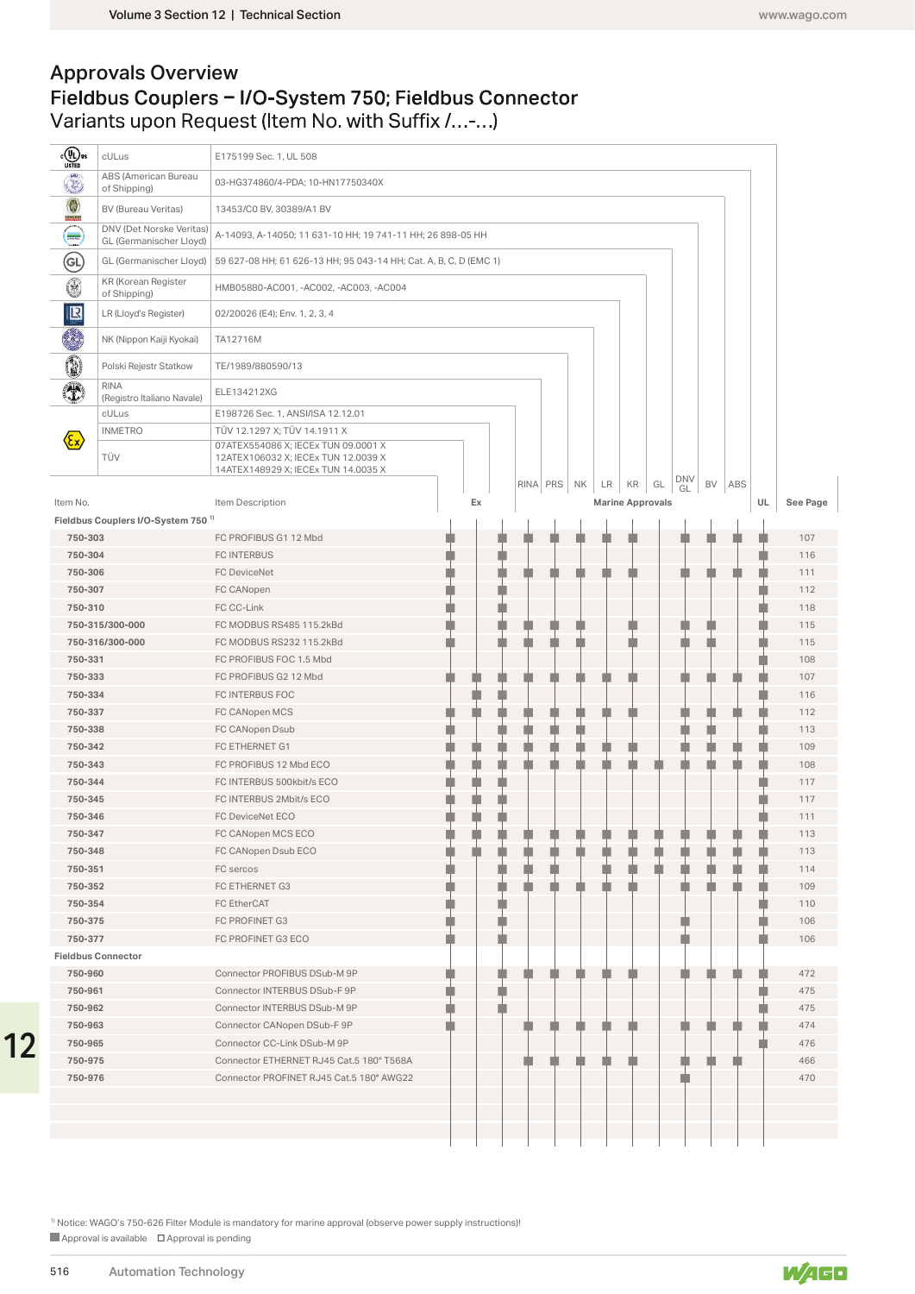#### Fieldbus Couplers - I/O-System 750; Fieldbus Connector Variants upon Request (Item No. with Suffix /...-...) Approvals Overview

| <b>E</b> UD <sub>US</sub><br>LISTED          | cULus                                              | E175199 Sec. 1, UL 508                                                                                                                            |    |             |  |                         |           |                                                                                                                       |                                                                                                                      |            |
|----------------------------------------------|----------------------------------------------------|---------------------------------------------------------------------------------------------------------------------------------------------------|----|-------------|--|-------------------------|-----------|-----------------------------------------------------------------------------------------------------------------------|----------------------------------------------------------------------------------------------------------------------|------------|
|                                              | ABS (American Bureau                               |                                                                                                                                                   |    |             |  |                         |           |                                                                                                                       |                                                                                                                      |            |
| C<br>$\bullet$                               | of Shipping)                                       | 03-HG374860/4-PDA; 10-HN17750340X                                                                                                                 |    |             |  |                         |           |                                                                                                                       |                                                                                                                      |            |
| <b>ERKERIN</b>                               | BV (Bureau Veritas)<br>DNV (Det Norske Veritas)    | 13453/C0 BV, 30389/A1 BV<br>A-14093, A-14050; 11 631-10 HH; 19 741-11 HH; 26 898-05 HH                                                            |    |             |  |                         |           |                                                                                                                       |                                                                                                                      |            |
| Œ                                            | GL (Germanischer Lloyd)<br>GL (Germanischer Lloyd) | 59 627-08 HH; 61 626-13 HH; 95 043-14 HH; Cat. A, B, C, D (EMC 1)                                                                                 |    |             |  |                         |           |                                                                                                                       |                                                                                                                      |            |
| @<br>۳                                       | KR (Korean Register                                | HMB05880-AC001, -AC002, -AC003, -AC004                                                                                                            |    |             |  |                         |           |                                                                                                                       |                                                                                                                      |            |
|                                              | of Shipping)                                       |                                                                                                                                                   |    |             |  |                         |           |                                                                                                                       |                                                                                                                      |            |
| $\mathbb{R}$<br>O                            | LR (Lloyd's Register)<br>NK (Nippon Kaiji Kyokai)  | 02/20026 (E4); Env. 1, 2, 3, 4<br>TA12716M                                                                                                        |    |             |  |                         |           |                                                                                                                       |                                                                                                                      |            |
|                                              |                                                    |                                                                                                                                                   |    |             |  |                         |           |                                                                                                                       |                                                                                                                      |            |
| 0                                            | Polski Rejestr Statkow<br><b>RINA</b>              | TE/1989/880590/13                                                                                                                                 |    |             |  |                         |           |                                                                                                                       |                                                                                                                      |            |
| $\hat{\mathbf{T}}$                           | (Registro Italiano Navale)                         | ELE134212XG                                                                                                                                       |    |             |  |                         |           |                                                                                                                       |                                                                                                                      |            |
|                                              | cULus                                              | E198726 Sec. 1, ANSI/ISA 12.12.01                                                                                                                 |    |             |  |                         |           |                                                                                                                       |                                                                                                                      |            |
| $\left\langle \xi_{\mathrm{X}}\right\rangle$ | <b>INMETRO</b><br>TÜV                              | TÜV 12.1297 X; TÜV 14.1911 X<br>07ATEX554086 X; IECEx TUN 09.0001 X<br>12ATEX106032 X; IECEx TUN 12.0039 X<br>14ATEX148929 X; IECEx TUN 14.0035 X |    |             |  |                         |           |                                                                                                                       |                                                                                                                      |            |
|                                              |                                                    |                                                                                                                                                   |    | RINA PRS NK |  | $LR$ $KR$ $GL$          | DNV<br>GL | BV ABS                                                                                                                |                                                                                                                      |            |
| Item No.                                     | Fieldbus Couplers I/O-System 750 <sup>1)</sup>     | Item Description                                                                                                                                  | Ex |             |  | <b>Marine Approvals</b> |           |                                                                                                                       | UL                                                                                                                   | See Page   |
| 750-303                                      |                                                    | FC PROFIBUS G1 12 Mbd                                                                                                                             |    |             |  |                         |           |                                                                                                                       |                                                                                                                      | 107        |
| 750-304                                      |                                                    | <b>FC INTERBUS</b>                                                                                                                                |    |             |  |                         |           |                                                                                                                       |                                                                                                                      | 116        |
| 750-306                                      |                                                    | FC DeviceNet                                                                                                                                      |    |             |  |                         |           |                                                                                                                       |                                                                                                                      | 111        |
| 750-307                                      |                                                    | FC CANopen                                                                                                                                        |    |             |  |                         |           |                                                                                                                       | ٠                                                                                                                    | 112        |
| 750-310                                      |                                                    | FC CC-Link                                                                                                                                        |    |             |  |                         |           |                                                                                                                       |                                                                                                                      | 118        |
|                                              | 750-315/300-000                                    | FC MODBUS RS485 115.2kBd                                                                                                                          |    |             |  |                         |           |                                                                                                                       | ٠                                                                                                                    | 115        |
|                                              | 750-316/300-000                                    | FC MODBUS RS232 115.2kBd                                                                                                                          |    |             |  |                         |           |                                                                                                                       | H.                                                                                                                   | 115        |
| 750-331                                      |                                                    | FC PROFIBUS FOC 1.5 Mbd                                                                                                                           |    |             |  |                         |           |                                                                                                                       | <b>Service Service</b>                                                                                               | 108        |
| 750-333                                      |                                                    | FC PROFIBUS G2 12 Mbd                                                                                                                             |    |             |  |                         |           |                                                                                                                       | T.                                                                                                                   | 107        |
| 750-334                                      |                                                    | FC INTERBUS FOC                                                                                                                                   |    |             |  |                         |           |                                                                                                                       |                                                                                                                      | 116        |
| 750-337                                      |                                                    | FC CANopen MCS                                                                                                                                    |    |             |  |                         |           |                                                                                                                       |                                                                                                                      | 112        |
| 750-338                                      |                                                    | FC CANopen Dsub                                                                                                                                   |    |             |  |                         |           |                                                                                                                       |                                                                                                                      | 113        |
| 750-342                                      |                                                    | FC ETHERNET G1                                                                                                                                    |    |             |  |                         |           | n                                                                                                                     | n.                                                                                                                   | 109        |
| 750-343                                      |                                                    | FC PROFIBUS 12 Mbd ECO                                                                                                                            |    |             |  |                         |           |                                                                                                                       | Ė                                                                                                                    | 108        |
| 750-344                                      |                                                    | FC INTERBUS 500kbit/s ECO                                                                                                                         |    |             |  |                         |           |                                                                                                                       | <b>STATE OF STATE OF STATE OF STATE OF STATE OF STATE OF STATE OF STATE OF STATE OF STATE OF STATE OF STATE OF S</b> | 117        |
| 750-345                                      |                                                    | FC INTERBUS 2Mbit/s ECO                                                                                                                           |    |             |  |                         |           |                                                                                                                       |                                                                                                                      | 117        |
| 750-346                                      |                                                    | FC DeviceNet ECO                                                                                                                                  |    |             |  |                         |           |                                                                                                                       |                                                                                                                      | 111        |
| 750-347                                      |                                                    | FC CANopen MCS ECO                                                                                                                                |    |             |  |                         |           |                                                                                                                       |                                                                                                                      | 113        |
| 750-348                                      |                                                    | FC CANopen Dsub ECO                                                                                                                               |    |             |  |                         |           | <b>Contract Contract Contract Contract Contract Contract Contract Contract Contract Contract Contract Contract Co</b> | Ĥ                                                                                                                    | 113        |
| 750-351                                      |                                                    | FC sercos                                                                                                                                         |    |             |  |                         |           |                                                                                                                       |                                                                                                                      | 114        |
| 750-352                                      |                                                    | FC ETHERNET G3                                                                                                                                    |    |             |  |                         |           |                                                                                                                       |                                                                                                                      | 109        |
| 750-354                                      |                                                    | FC EtherCAT                                                                                                                                       | n  |             |  |                         |           |                                                                                                                       | ш                                                                                                                    | 110        |
| 750-375                                      |                                                    | FC PROFINET G3                                                                                                                                    |    |             |  |                         |           |                                                                                                                       | n                                                                                                                    | 106        |
| 750-377                                      |                                                    | FC PROFINET G3 ECO                                                                                                                                |    |             |  |                         | т         |                                                                                                                       | n                                                                                                                    | 106        |
|                                              | <b>Fieldbus Connector</b>                          |                                                                                                                                                   |    |             |  |                         |           |                                                                                                                       |                                                                                                                      |            |
| 750-960                                      |                                                    | Connector PROFIBUS DSub-M 9P                                                                                                                      |    |             |  |                         |           |                                                                                                                       |                                                                                                                      | 472        |
| 750-961                                      |                                                    | Connector INTERBUS DSub-F 9P                                                                                                                      |    |             |  |                         |           |                                                                                                                       | ٠                                                                                                                    | 475        |
| 750-962                                      |                                                    | Connector INTERBUS DSub-M 9P                                                                                                                      |    |             |  |                         |           |                                                                                                                       | I.                                                                                                                   | 475        |
| 750-963                                      |                                                    | Connector CANopen DSub-F 9P                                                                                                                       |    |             |  |                         |           |                                                                                                                       |                                                                                                                      | 474        |
| 750-965                                      |                                                    | Connector CC-Link DSub-M 9P                                                                                                                       |    |             |  |                         |           |                                                                                                                       |                                                                                                                      | 476        |
| 750-975<br>750-976                           |                                                    | Connector ETHERNET RJ45 Cat.5 180° T568A<br>Connector PROFINET RJ45 Cat.5 180° AWG22                                                              |    |             |  |                         |           | u                                                                                                                     |                                                                                                                      | 466<br>470 |
|                                              |                                                    |                                                                                                                                                   |    |             |  |                         |           |                                                                                                                       |                                                                                                                      |            |
|                                              |                                                    |                                                                                                                                                   |    |             |  |                         |           |                                                                                                                       |                                                                                                                      |            |
|                                              |                                                    |                                                                                                                                                   |    |             |  |                         |           |                                                                                                                       |                                                                                                                      |            |

<sup>1)</sup> Notice: WAGO's 750-626 Filter Module is mandatory for marine approval (observe power supply instructions)!  $\blacksquare$  Approval is available  $\blacksquare$  Approval is pending

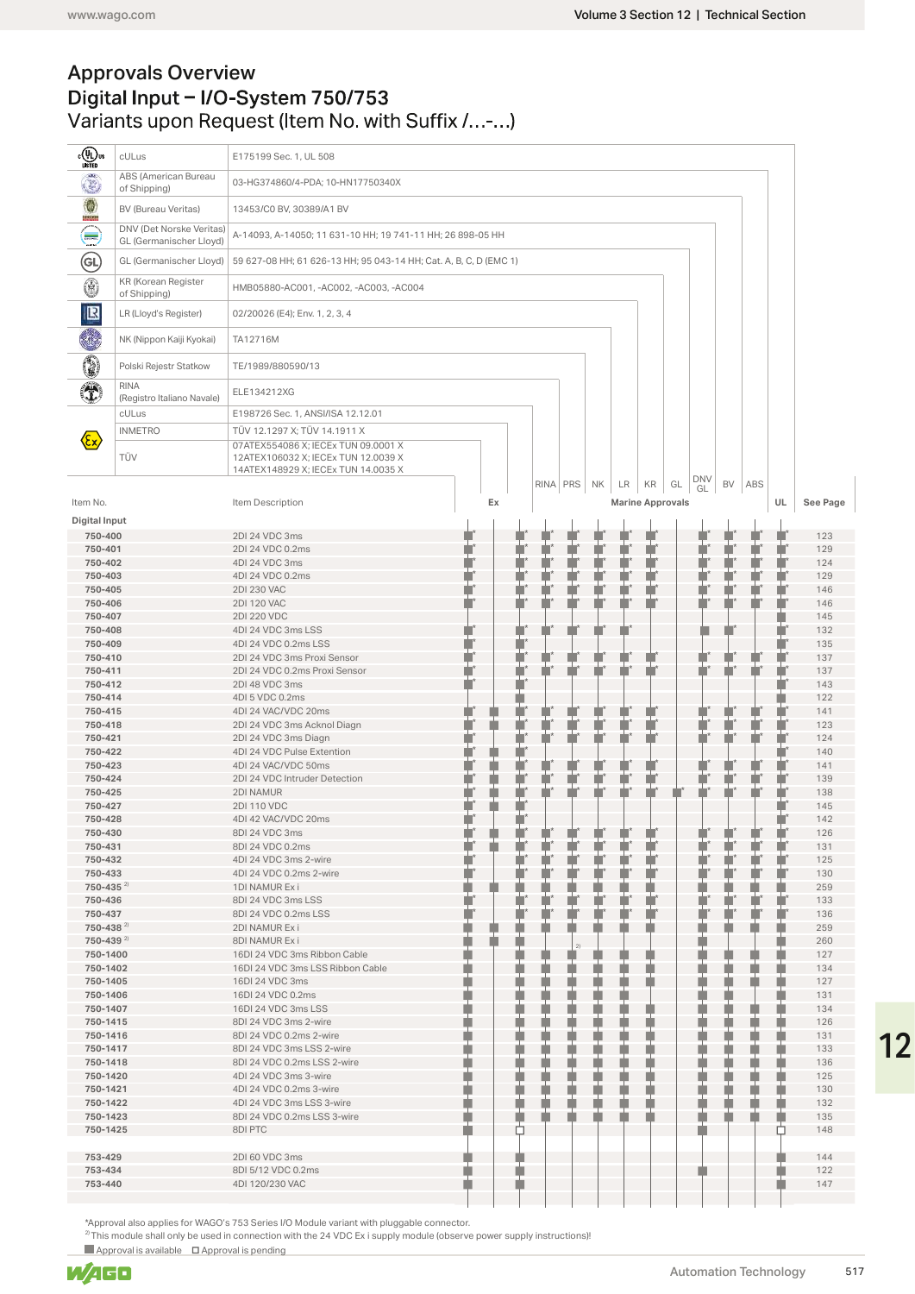## Digital Input - I/O-System 750/753<br>Variants upon Request (Item No. with Suffix /...-...) Approvals Overview

| $\frac{c}{\text{us}}$ us           | cULus                                               | E175199 Sec. 1, UL 508                                                                                            |                        |                                                                                                                      |                       |                                                                                                                            |                                                                                                                              |            |     |        |         |     |            |
|------------------------------------|-----------------------------------------------------|-------------------------------------------------------------------------------------------------------------------|------------------------|----------------------------------------------------------------------------------------------------------------------|-----------------------|----------------------------------------------------------------------------------------------------------------------------|------------------------------------------------------------------------------------------------------------------------------|------------|-----|--------|---------|-----|------------|
| ٥                                  | ABS (American Bureau<br>of Shipping)                | 03-HG374860/4-PDA; 10-HN17750340X                                                                                 |                        |                                                                                                                      |                       |                                                                                                                            |                                                                                                                              |            |     |        |         |     |            |
| $\bullet$                          | BV (Bureau Veritas)                                 | 13453/C0 BV, 30389/A1 BV                                                                                          |                        |                                                                                                                      |                       |                                                                                                                            |                                                                                                                              |            |     |        |         |     |            |
| ⋹                                  | DNV (Det Norske Veritas)<br>GL (Germanischer Lloyd) | A-14093, A-14050; 11 631-10 HH; 19 741-11 HH; 26 898-05 HH                                                        |                        |                                                                                                                      |                       |                                                                                                                            |                                                                                                                              |            |     |        |         |     |            |
| $\bigoplus$                        | GL (Germanischer Lloyd)                             | 59 627-08 HH; 61 626-13 HH; 95 043-14 HH; Cat. A, B, C, D (EMC 1)                                                 |                        |                                                                                                                      |                       |                                                                                                                            |                                                                                                                              |            |     |        |         |     |            |
| ۳                                  | KR (Korean Register<br>of Shipping)                 | HMB05880-AC001, -AC002, -AC003, -AC004                                                                            |                        |                                                                                                                      |                       |                                                                                                                            |                                                                                                                              |            |     |        |         |     |            |
| $\mathbb{R}$                       | LR (Lloyd's Register)                               | 02/20026 (E4); Env. 1, 2, 3, 4                                                                                    |                        |                                                                                                                      |                       |                                                                                                                            |                                                                                                                              |            |     |        |         |     |            |
| O                                  | NK (Nippon Kaiji Kyokai)                            | TA12716M                                                                                                          |                        |                                                                                                                      |                       |                                                                                                                            |                                                                                                                              |            |     |        |         |     |            |
| 0                                  | Polski Rejestr Statkow                              | TE/1989/880590/13                                                                                                 |                        |                                                                                                                      |                       |                                                                                                                            |                                                                                                                              |            |     |        |         |     |            |
| $\hat{I}$                          | <b>RINA</b>                                         | ELE134212XG                                                                                                       |                        |                                                                                                                      |                       |                                                                                                                            |                                                                                                                              |            |     |        |         |     |            |
|                                    | (Registro Italiano Navale)<br>cULus                 | E198726 Sec. 1, ANSI/ISA 12.12.01                                                                                 |                        |                                                                                                                      |                       |                                                                                                                            |                                                                                                                              |            |     |        |         |     |            |
|                                    | <b>INMETRO</b>                                      | TÜV 12.1297 X; TÜV 14.1911 X                                                                                      |                        |                                                                                                                      |                       |                                                                                                                            |                                                                                                                              |            |     |        |         |     |            |
| $\langle \xi_{\mathsf{X}} \rangle$ | TÜV                                                 | 07ATEX554086 X; IECEx TUN 09.0001 X<br>12ATEX106032 X; IECEx TUN 12.0039 X<br>14ATEX148929 X; IECEx TUN 14.0035 X |                        |                                                                                                                      |                       |                                                                                                                            |                                                                                                                              |            | DNV |        |         |     |            |
| Item No.                           |                                                     | Item Description                                                                                                  |                        | Ex                                                                                                                   | RINA PRS NK           |                                                                                                                            | LR<br><b>Marine Approvals</b>                                                                                                | KR  <br>GL | GL  | BV ABS |         | UL  | See Page   |
| <b>Digital Input</b>               |                                                     |                                                                                                                   |                        |                                                                                                                      |                       |                                                                                                                            |                                                                                                                              |            |     |        |         |     |            |
| 750-400                            |                                                     | 2DI 24 VDC 3ms                                                                                                    |                        |                                                                                                                      |                       |                                                                                                                            |                                                                                                                              |            |     |        |         |     | 123        |
| 750-401                            |                                                     | 2DI 24 VDC 0.2ms                                                                                                  |                        |                                                                                                                      | ţ                     | Ì                                                                                                                          | Ţ                                                                                                                            |            |     |        |         |     | 129        |
| 750-402                            |                                                     | 4DI 24 VDC 3ms<br>4DI 24 VDC 0.2ms                                                                                |                        | û                                                                                                                    |                       |                                                                                                                            | ū                                                                                                                            |            |     |        |         |     | 124<br>129 |
| 750-403<br>750-405                 |                                                     | 2DI 230 VAC                                                                                                       |                        |                                                                                                                      |                       |                                                                                                                            |                                                                                                                              |            |     |        |         |     | 146        |
| 750-406                            |                                                     | 2DI 120 VAC                                                                                                       |                        |                                                                                                                      |                       |                                                                                                                            |                                                                                                                              |            |     |        |         |     | 146        |
| 750-407                            |                                                     | 2DI 220 VDC                                                                                                       |                        |                                                                                                                      |                       |                                                                                                                            |                                                                                                                              |            |     |        |         |     | 145        |
| 750-408                            |                                                     | 4DI 24 VDC 3ms LSS                                                                                                |                        |                                                                                                                      |                       |                                                                                                                            |                                                                                                                              |            |     |        |         |     | 132        |
| 750-409                            |                                                     | 4DI 24 VDC 0.2ms LSS                                                                                              |                        |                                                                                                                      |                       |                                                                                                                            |                                                                                                                              |            |     |        |         |     | 135        |
| 750-410                            |                                                     | 2DI 24 VDC 3ms Proxi Sensor                                                                                       |                        | П                                                                                                                    |                       |                                                                                                                            |                                                                                                                              |            |     |        |         |     | 137        |
| 750-411                            |                                                     | 2DI 24 VDC 0.2ms Proxi Sensor                                                                                     |                        | û,                                                                                                                   |                       | i r                                                                                                                        |                                                                                                                              |            |     |        |         |     | 137        |
| 750-412                            |                                                     | 2DI 48 VDC 3ms                                                                                                    |                        | ÷.                                                                                                                   |                       |                                                                                                                            |                                                                                                                              |            |     |        |         |     | 143        |
| 750-414                            |                                                     | 4DI 5 VDC 0.2ms                                                                                                   |                        |                                                                                                                      |                       |                                                                                                                            |                                                                                                                              |            |     |        |         |     | 122        |
| 750-415                            |                                                     | 4DI 24 VAC/VDC 20ms                                                                                               |                        |                                                                                                                      |                       |                                                                                                                            | ш                                                                                                                            |            |     |        |         |     | 141        |
| 750-418                            |                                                     | 2DI 24 VDC 3ms Acknol Diagn                                                                                       |                        | ¢<br>۰                                                                                                               | ū<br>ŋ                | Ţ                                                                                                                          | T                                                                                                                            |            |     |        |         |     | 123        |
| 750-421                            |                                                     | 2DI 24 VDC 3ms Diagn                                                                                              |                        | n                                                                                                                    | n.<br>Ħ               | n.                                                                                                                         | n 1                                                                                                                          |            |     |        |         |     | 124        |
| 750-422                            |                                                     | 4DI 24 VDC Pulse Extention<br>4DI 24 VAC/VDC 50ms                                                                 | T                      | J<br>٠                                                                                                               |                       |                                                                                                                            |                                                                                                                              |            |     |        |         |     | 140        |
| 750-423<br>750-424                 |                                                     | 2DI 24 VDC Intruder Detection                                                                                     |                        | Ù.                                                                                                                   | Ŧ<br>in the set<br>à. | <b>STATE OF STATE OF STATE OF STATE OF STATE OF STATE OF STATE OF STATE OF STATE OF STATE OF STATE OF STATE OF S</b><br>÷, | <b>Contract Contract Contract Contract Contract Contract Contract Contract Contract Contract Contract Contract Co</b><br>n k |            | n " | n t    |         |     | 141<br>139 |
| 750-425                            |                                                     | 2DI NAMUR                                                                                                         | û                      | ¢<br>Ėľ.                                                                                                             | Ŧ                     |                                                                                                                            |                                                                                                                              |            |     |        |         |     | 138        |
| 750-427                            |                                                     | 2DI 110 VDC                                                                                                       | n 1                    | Ù<br>Ė                                                                                                               |                       |                                                                                                                            |                                                                                                                              |            |     |        |         |     | 145        |
| 750-428                            |                                                     | 4DI 42 VAC/VDC 20ms                                                                                               | т                      |                                                                                                                      |                       |                                                                                                                            |                                                                                                                              |            |     |        |         | a r | 142        |
| 750-430                            |                                                     | 8DI 24 VDC 3ms                                                                                                    | n 1                    | ¢<br>L.                                                                                                              | ur i<br>ur.           | ur r                                                                                                                       | r<br>I r                                                                                                                     |            | H   |        | l li    | Ĥ   | 126        |
| 750-431                            |                                                     | 8DI 24 VDC 0.2ms                                                                                                  | n i                    | Ŵ<br>۰                                                                                                               | Ù.<br>T               | r                                                                                                                          | n"<br>m                                                                                                                      |            |     |        | Ō,      | Ħ   | 131        |
| 750-432                            |                                                     | 4DI 24 VDC 3ms 2-wire                                                                                             | m                      | r                                                                                                                    | ¢<br>r                | r                                                                                                                          | n"<br>m                                                                                                                      |            |     |        |         | Ħ   | 125        |
| 750-433                            |                                                     | 4DI 24 VDC 0.2ms 2-wire                                                                                           | n 1                    | Ú.                                                                                                                   | Ù,<br>r               | r                                                                                                                          | U.<br>m                                                                                                                      |            |     |        | n i     | Ħ   | 130        |
| $750 - 435^{2}$                    |                                                     | 1DI NAMUR Exi                                                                                                     | ٦                      |                                                                                                                      |                       |                                                                                                                            |                                                                                                                              |            | ۳   |        | ¢       | Ľ,  | 259        |
| 750-436                            |                                                     | 8DI 24 VDC 3ms LSS                                                                                                | n.                     | Ū                                                                                                                    | ¥<br>T                | ¥                                                                                                                          | í,<br>r                                                                                                                      |            | ť   | n in   | ¢       | ¢   | 133        |
| 750-437                            |                                                     | 8DI 24 VDC 0.2ms LSS                                                                                              |                        |                                                                                                                      | n i<br>Π              | T                                                                                                                          | a d<br>n                                                                                                                     |            | Ħ   |        | Ĥ       | È   | 136        |
| $750 - 438^{2}$                    |                                                     | 2DI NAMUR Exi                                                                                                     | T.                     | ¢<br><b>Service Service</b>                                                                                          | ÷<br>n.               | ú.                                                                                                                         | n.                                                                                                                           |            | ۰   |        | Ĥ       | n   | 259        |
| 750-439 <sup>2)</sup>              |                                                     | 8DI NAMUR Exi                                                                                                     | T.                     | ۰                                                                                                                    |                       |                                                                                                                            |                                                                                                                              |            |     |        |         | n   | 260        |
| 750-1400                           |                                                     | 16DI 24 VDC 3ms Ribbon Cable                                                                                      | ٠                      |                                                                                                                      |                       |                                                                                                                            |                                                                                                                              |            |     |        | ۴       | D.  | 127        |
| 750-1402                           |                                                     | 16DI 24 VDC 3ms LSS Ribbon Cable                                                                                  |                        |                                                                                                                      |                       |                                                                                                                            | ٠<br>٠                                                                                                                       |            | J.  | ٠      | D.      | n   | 134        |
| 750-1405                           |                                                     | 16DI 24 VDC 3ms                                                                                                   |                        |                                                                                                                      |                       |                                                                                                                            |                                                                                                                              |            |     |        | n       | ×   | 127        |
| 750-1406                           |                                                     | 16DI 24 VDC 0.2ms<br>16DI 24 VDC 3ms LSS                                                                          | <b>Service Service</b> | <b>STATE OF STATE OF STATE OF STATE OF STATE OF STATE OF STATE OF STATE OF STATE OF STATE OF STATE OF STATE OF S</b> |                       |                                                                                                                            | n,                                                                                                                           |            |     |        |         | ×   | 131        |
| 750-1407<br>750-1415               |                                                     | 8DI 24 VDC 3ms 2-wire                                                                                             |                        | T                                                                                                                    |                       |                                                                                                                            | ۰                                                                                                                            |            |     |        | ۴<br>Ė. | ×   | 134<br>126 |
| 750-1416                           |                                                     | 8DI 24 VDC 0.2ms 2-wire                                                                                           |                        |                                                                                                                      |                       |                                                                                                                            |                                                                                                                              |            |     |        |         |     | 131        |
| 750-1417                           |                                                     | 8DI 24 VDC 3ms LSS 2-wire                                                                                         |                        | Ĥ                                                                                                                    |                       |                                                                                                                            | ۰                                                                                                                            |            |     | Ė      | Ė       | n   | 133        |
| 750-1418                           |                                                     | 8DI 24 VDC 0.2ms LSS 2-wire                                                                                       | n                      |                                                                                                                      |                       |                                                                                                                            |                                                                                                                              |            |     |        | ņ       | D.  | 136        |
| 750-1420                           |                                                     | 4DI 24 VDC 3ms 3-wire                                                                                             | Ť.                     | ¢                                                                                                                    | ۰                     |                                                                                                                            | Ů.                                                                                                                           |            | Ľ.  | Ó.     | Ŕ,      | Ú.  | 125        |
| 750-1421                           |                                                     | 4DI 24 VDC 0.2ms 3-wire                                                                                           | T.                     | ۰                                                                                                                    |                       |                                                                                                                            |                                                                                                                              |            | Ľ.  |        | Ú.      | a.  | 130        |
| 750-1422                           |                                                     | 4DI 24 VDC 3ms LSS 3-wire                                                                                         | ۰                      | ¢                                                                                                                    |                       |                                                                                                                            | ú.                                                                                                                           |            | n.  | a in   | ¢.      | D.  | 132        |
| 750-1423                           |                                                     | 8DI 24 VDC 0.2ms LSS 3-wire                                                                                       | ¢                      | ¢                                                                                                                    |                       | n.                                                                                                                         | n.<br>٠                                                                                                                      |            | n.  |        |         | ¢.  | 135        |
|                                    |                                                     | 8DI PTC                                                                                                           | û.                     | ▭                                                                                                                    |                       |                                                                                                                            |                                                                                                                              |            |     |        |         | ่   | 148        |
| 750-1425                           |                                                     |                                                                                                                   |                        |                                                                                                                      |                       |                                                                                                                            |                                                                                                                              |            |     |        |         |     |            |
|                                    |                                                     |                                                                                                                   |                        |                                                                                                                      |                       |                                                                                                                            |                                                                                                                              |            |     |        |         |     |            |
| 753-429                            |                                                     | 2DI 60 VDC 3ms                                                                                                    | ٠                      | ۳                                                                                                                    |                       |                                                                                                                            |                                                                                                                              |            |     |        |         | ٠   | 144        |
| 753-434<br>753-440                 |                                                     | 8DI 5/12 VDC 0.2ms<br>4DI 120/230 VAC                                                                             | D,<br>n.               | ¢<br>I.                                                                                                              |                       |                                                                                                                            |                                                                                                                              |            |     |        |         | ۳   | 122<br>147 |

\*Approval also applies for WAGO's 753 Series I/O Module variant with pluggable connector.<br><sup>2)</sup> This module shall only be used in connection with the 24 VDC Ex i supply module (observe power supply instructions)!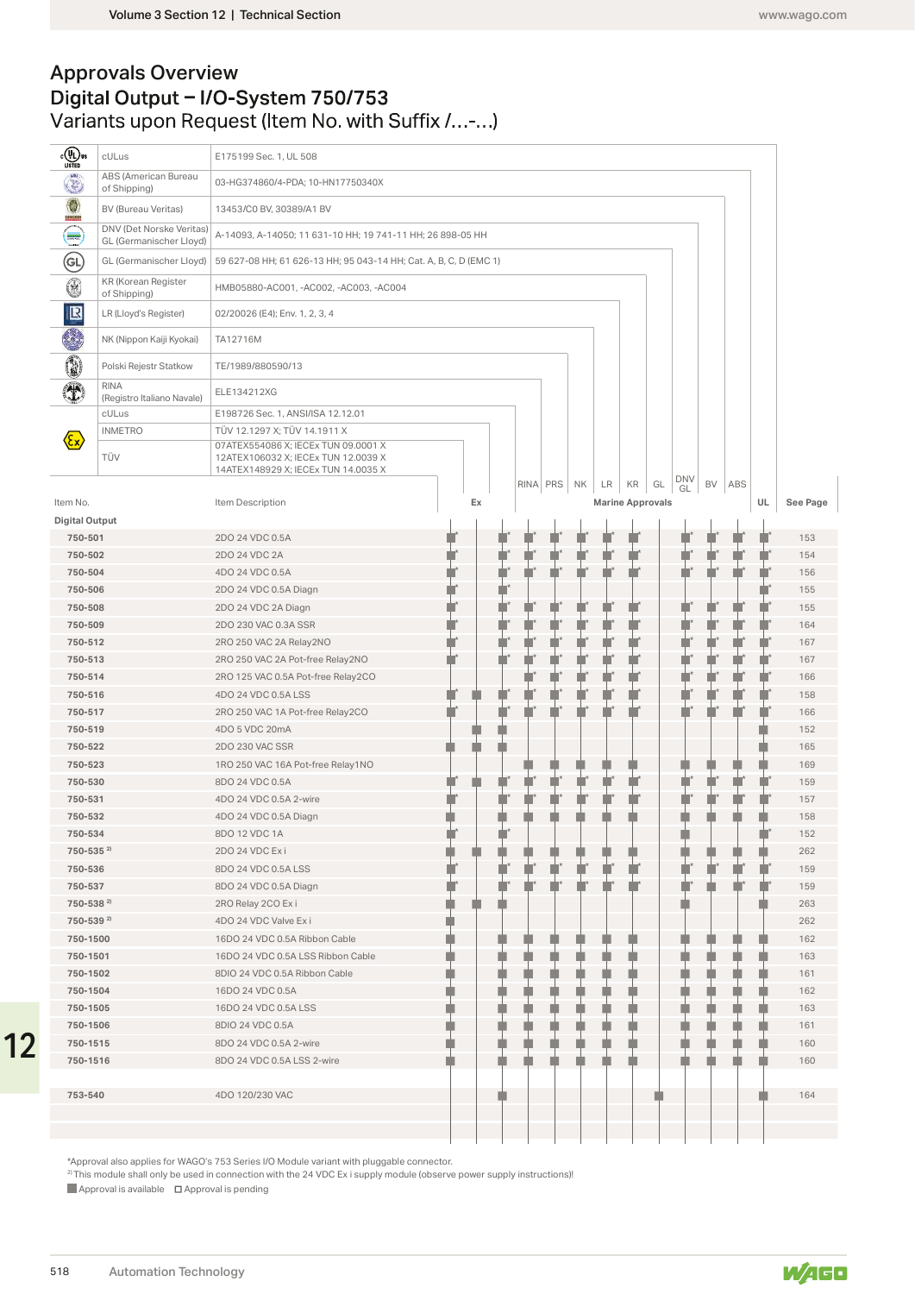## Digital Output - I/O-System 750/753<br>Variants upon Request (Item No. with Suffix /...-...) Approvals Overview

|                       | cULus                                               | E175199 Sec. 1, UL 508                                                                                            |    |    |             |  |                                      |    |           |     |                  |       |          |
|-----------------------|-----------------------------------------------------|-------------------------------------------------------------------------------------------------------------------|----|----|-------------|--|--------------------------------------|----|-----------|-----|------------------|-------|----------|
|                       | ABS (American Bureau<br>of Shipping)                | 03-HG374860/4-PDA; 10-HN17750340X                                                                                 |    |    |             |  |                                      |    |           |     |                  |       |          |
|                       | BV (Bureau Veritas)                                 | 13453/C0 BV, 30389/A1 BV                                                                                          |    |    |             |  |                                      |    |           |     |                  |       |          |
|                       | DNV (Det Norske Veritas)<br>GL (Germanischer Lloyd) | A-14093, A-14050; 11 631-10 HH; 19 741-11 HH; 26 898-05 HH                                                        |    |    |             |  |                                      |    |           |     |                  |       |          |
|                       | GL (Germanischer Lloyd)                             | 59 627-08 HH; 61 626-13 HH; 95 043-14 HH; Cat. A, B, C, D (EMC 1)                                                 |    |    |             |  |                                      |    |           |     |                  |       |          |
|                       | KR (Korean Register<br>of Shipping)                 | HMB05880-AC001, -AC002, -AC003, -AC004                                                                            |    |    |             |  |                                      |    |           |     |                  |       |          |
|                       | LR (Lloyd's Register)                               | 02/20026 (E4); Env. 1, 2, 3, 4                                                                                    |    |    |             |  |                                      |    |           |     |                  |       |          |
|                       | NK (Nippon Kaiji Kyokai)                            | TA12716M                                                                                                          |    |    |             |  |                                      |    |           |     |                  |       |          |
|                       | Polski Rejestr Statkow                              | TE/1989/880590/13                                                                                                 |    |    |             |  |                                      |    |           |     |                  |       |          |
|                       | RINA<br>(Registro Italiano Navale)                  | ELE134212XG                                                                                                       |    |    |             |  |                                      |    |           |     |                  |       |          |
|                       | cULus                                               | E198726 Sec. 1, ANSI/ISA 12.12.01                                                                                 |    |    |             |  |                                      |    |           |     |                  |       |          |
|                       | <b>INMETRO</b>                                      | TÜV 12.1297 X; TÜV 14.1911 X                                                                                      |    |    |             |  |                                      |    |           |     |                  |       |          |
|                       | TÜV                                                 | 07ATEX554086 X; IECEx TUN 09.0001 X<br>12ATEX106032 X; IECEx TUN 12.0039 X<br>14ATEX148929 X; IECEx TUN 14.0035 X |    |    |             |  |                                      |    |           |     |                  |       |          |
| Item No.              |                                                     | Item Description                                                                                                  |    | Ex | RINA PRS NK |  | $LR$ $KR$<br><b>Marine Approvals</b> | GL | DNV<br>GL |     | BV ABS           | UL    | See Page |
| 750-501               | <b>Digital Output</b>                               | 2DO 24 VDC 0.5A                                                                                                   |    |    |             |  |                                      |    |           |     | ur.              | m     | 153      |
| 750-502               |                                                     | 2DO 24 VDC 2A                                                                                                     |    |    |             |  |                                      |    | T.        |     | ur r             | N.    | 154      |
| 750-504               |                                                     | 4DO 24 VDC 0.5A                                                                                                   |    |    |             |  |                                      |    |           |     | ш                | n T   | 156      |
| 750-506               |                                                     | 2DO 24 VDC 0.5A Diagn                                                                                             |    |    |             |  |                                      |    |           |     |                  |       | 155      |
| 750-508               |                                                     | 2DO 24 VDC 2A Diagn                                                                                               |    |    |             |  |                                      |    |           |     |                  | u r   | 155      |
|                       |                                                     |                                                                                                                   |    |    |             |  |                                      |    |           |     |                  | T     |          |
| 750-509               |                                                     | 2DO 230 VAC 0.3A SSR                                                                                              |    |    |             |  |                                      |    |           |     | - r              |       | 164      |
| 750-512               |                                                     | 2RO 250 VAC 2A Relay2NO                                                                                           |    |    |             |  |                                      |    |           |     | m                | m     | 167      |
| 750-513               |                                                     | 2RO 250 VAC 2A Pot-free Relay2NO                                                                                  |    |    |             |  |                                      |    |           |     | r                | П     | 167      |
| 750-514               |                                                     | 2RO 125 VAC 0.5A Pot-free Relay2CO                                                                                |    |    |             |  |                                      |    |           |     | ur.              | Ľ     | 166      |
| 750-516               |                                                     | 4DO 24 VDC 0.5A LSS                                                                                               |    |    |             |  |                                      |    |           |     | n d              | n     | 158      |
| 750-517               |                                                     | 2RO 250 VAC 1A Pot-free Relay2CO                                                                                  |    |    |             |  |                                      |    |           |     | ur.              | Ħ     | 166      |
| 750-519               |                                                     | 4DO 5 VDC 20mA                                                                                                    |    |    |             |  |                                      |    |           |     |                  |       | 152      |
| 750-522               |                                                     | 2DO 230 VAC SSR                                                                                                   |    |    |             |  |                                      |    |           |     |                  |       | 165      |
| 750-523               |                                                     | 1RO 250 VAC 16A Pot-free Relay1NO                                                                                 |    |    |             |  |                                      |    |           |     |                  |       | 169      |
| 750-530               |                                                     | 8DO 24 VDC 0.5A                                                                                                   |    |    |             |  |                                      |    |           |     | <b>Contract</b>  | a a s | 159      |
| 750-531               |                                                     | 4DO 24 VDC 0.5A 2-wire                                                                                            | Ū  |    |             |  | n i                                  |    | ı         | T   | $\blacksquare^*$ | Ù,    | 157      |
| 750-532               |                                                     | 4DO 24 VDC 0.5A Diagn                                                                                             |    |    |             |  |                                      |    |           |     | n.               | n     | 158      |
| 750-534               |                                                     | 8DO 12 VDC 1A                                                                                                     |    |    |             |  |                                      |    |           |     |                  | n i   | 152      |
| 750-535 <sup>2)</sup> |                                                     | 2DO 24 VDC Exi                                                                                                    | ш  |    |             |  |                                      |    |           |     | H                | Ĥ     | 262      |
| 750-536               |                                                     | 8DO 24 VDC 0.5A LSS                                                                                               | H  |    |             |  |                                      |    |           | a n | n.               | Ħ.    | 159      |
| 750-537               |                                                     | 8DO 24 VDC 0.5A Diagn                                                                                             |    |    |             |  |                                      |    |           |     | m                | n"    | 159      |
| 750-538 <sup>2)</sup> |                                                     | 2RO Relay 2CO Exi                                                                                                 |    |    |             |  |                                      |    |           |     |                  |       | 263      |
| $750 - 539^{2}$       |                                                     | 4DO 24 VDC Valve Ex i                                                                                             | p. |    |             |  |                                      |    |           |     |                  |       | 262      |
| 750-1500              |                                                     | 16DO 24 VDC 0.5A Ribbon Cable                                                                                     | г  |    |             |  |                                      |    |           |     |                  |       | 162      |
| 750-1501              |                                                     | 16DO 24 VDC 0.5A LSS Ribbon Cable                                                                                 |    |    |             |  |                                      |    |           |     | ٠                | n     | 163      |
| 750-1502              |                                                     | 8DIO 24 VDC 0.5A Ribbon Cable                                                                                     |    |    |             |  |                                      |    |           |     | n                | I.    | 161      |
| 750-1504              |                                                     | 16DO 24 VDC 0.5A                                                                                                  |    |    |             |  |                                      |    |           |     | ٠                | Ĥ     | 162      |
| 750-1505              |                                                     | 16DO 24 VDC 0.5A LSS                                                                                              |    |    |             |  |                                      |    |           |     | n                | a in  | 163      |
| 750-1506              |                                                     | 8DIO 24 VDC 0.5A                                                                                                  |    |    |             |  |                                      |    |           |     | n                | n.    | 161      |
| 750-1515              |                                                     | 8DO 24 VDC 0.5A 2-wire                                                                                            |    |    |             |  |                                      |    |           |     | n                | n     | 160      |
| 750-1516              |                                                     | 8DO 24 VDC 0.5A LSS 2-wire                                                                                        |    |    |             |  |                                      |    |           |     |                  |       | 160      |
|                       |                                                     |                                                                                                                   |    |    |             |  |                                      |    |           |     |                  |       |          |
| 753-540               |                                                     | 4DO 120/230 VAC                                                                                                   |    |    |             |  |                                      |    |           |     |                  |       | 164      |

\*Approval also applies for WAGO's 753 Series I/O Module variant with pluggable connector.<br><sup>2)</sup> This module shall only be used in connection with the 24 VDC Ex i supply module (observe power supply instructions)!

 $\Box$  Approval is available  $\Box$  Approval is pending

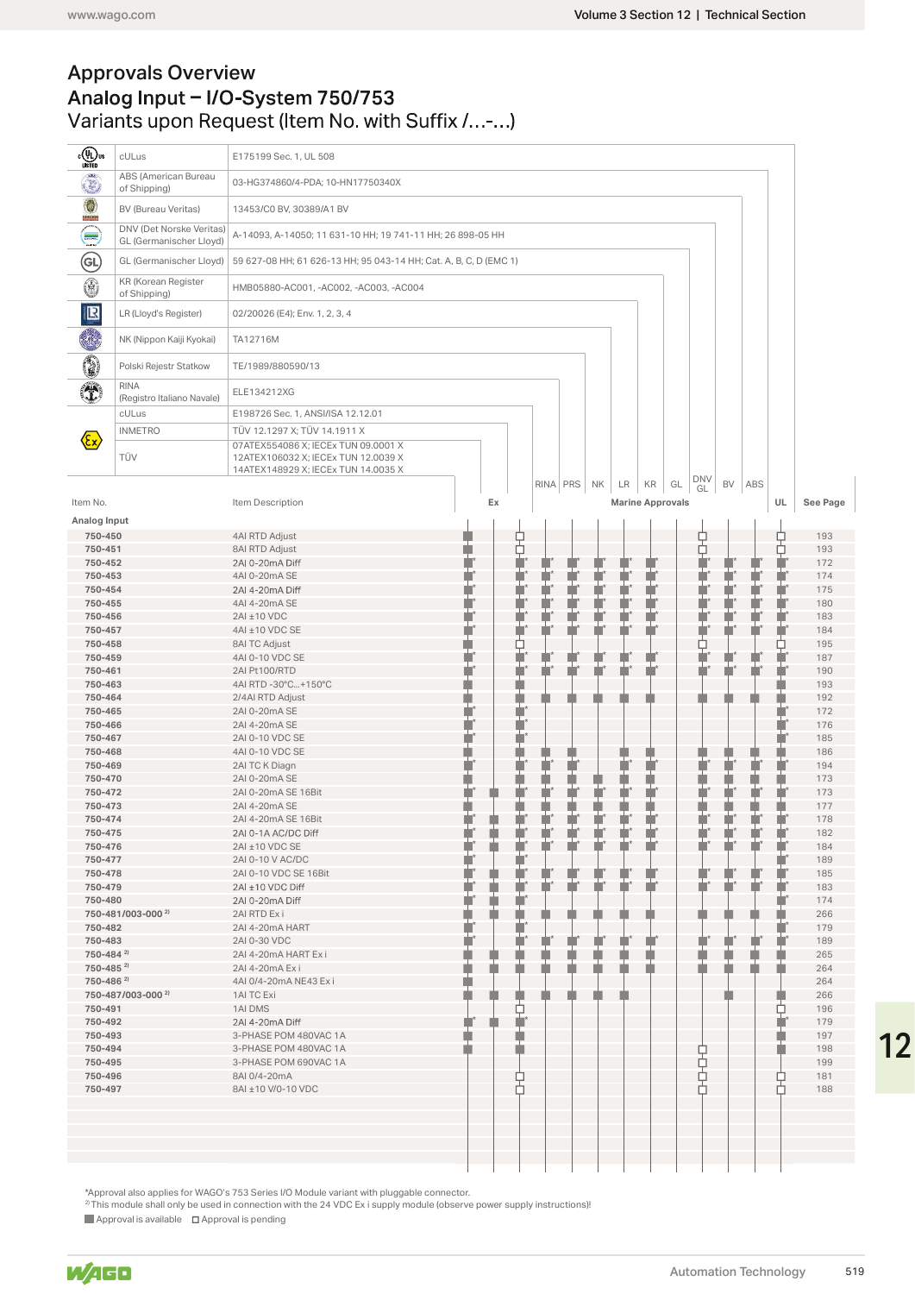## Approvals Overview<br>Analog Input - I/O-System 750/753 Variants upon Request (Item No. with Suffix /...-...)

| c(U)us                     | cULus                                               | E175199 Sec. 1, UL 508                                            |                                                                                                                                                                                                                                |                                                                                                                       |               |    |                                      |    |                  |                          |           |            |
|----------------------------|-----------------------------------------------------|-------------------------------------------------------------------|--------------------------------------------------------------------------------------------------------------------------------------------------------------------------------------------------------------------------------|-----------------------------------------------------------------------------------------------------------------------|---------------|----|--------------------------------------|----|------------------|--------------------------|-----------|------------|
| $\ddot{\odot}$             | ABS (American Bureau<br>of Shipping)                | 03-HG374860/4-PDA; 10-HN17750340X                                 |                                                                                                                                                                                                                                |                                                                                                                       |               |    |                                      |    |                  |                          |           |            |
| $\circ$                    | BV (Bureau Veritas)                                 | 13453/C0 BV, 30389/A1 BV                                          |                                                                                                                                                                                                                                |                                                                                                                       |               |    |                                      |    |                  |                          |           |            |
| $\bigoplus$                | DNV (Det Norske Veritas)<br>GL (Germanischer Lloyd) | A-14093, A-14050; 11 631-10 HH; 19 741-11 HH; 26 898-05 HH        |                                                                                                                                                                                                                                |                                                                                                                       |               |    |                                      |    |                  |                          |           |            |
| $\bigoplus$                | GL (Germanischer Lloyd)                             | 59 627-08 HH; 61 626-13 HH; 95 043-14 HH; Cat. A, B, C, D (EMC 1) |                                                                                                                                                                                                                                |                                                                                                                       |               |    |                                      |    |                  |                          |           |            |
| ۷                          | KR (Korean Register<br>of Shipping)                 | HMB05880-AC001, -AC002, -AC003, -AC004                            |                                                                                                                                                                                                                                |                                                                                                                       |               |    |                                      |    |                  |                          |           |            |
| $\blacksquare$             | LR (Lloyd's Register)                               | 02/20026 (E4); Env. 1, 2, 3, 4                                    |                                                                                                                                                                                                                                |                                                                                                                       |               |    |                                      |    |                  |                          |           |            |
| ₩                          | NK (Nippon Kaiji Kyokai)                            | TA12716M                                                          |                                                                                                                                                                                                                                |                                                                                                                       |               |    |                                      |    |                  |                          |           |            |
| 0                          | Polski Rejestr Statkow                              | TE/1989/880590/13                                                 |                                                                                                                                                                                                                                |                                                                                                                       |               |    |                                      |    |                  |                          |           |            |
| $\ddot{x}$                 | <b>RINA</b><br>(Registro Italiano Navale)           | ELE134212XG                                                       |                                                                                                                                                                                                                                |                                                                                                                       |               |    |                                      |    |                  |                          |           |            |
|                            | cULus                                               | E198726 Sec. 1, ANSI/ISA 12.12.01                                 |                                                                                                                                                                                                                                |                                                                                                                       |               |    |                                      |    |                  |                          |           |            |
|                            | <b>INMETRO</b>                                      | TÜV 12.1297 X; TÜV 14.1911 X                                      |                                                                                                                                                                                                                                |                                                                                                                       |               |    |                                      |    |                  |                          |           |            |
| $\langle \xi \chi \rangle$ |                                                     | 07ATEX554086 X; IECEx TUN 09.0001 X                               |                                                                                                                                                                                                                                |                                                                                                                       |               |    |                                      |    |                  |                          |           |            |
|                            | TÜV                                                 | 12ATEX106032 X; IECEx TUN 12.0039 X                               |                                                                                                                                                                                                                                |                                                                                                                       |               |    |                                      |    |                  |                          |           |            |
|                            |                                                     | 14ATEX148929 X; IECEx TUN 14.0035 X                               |                                                                                                                                                                                                                                |                                                                                                                       |               |    |                                      |    |                  |                          |           |            |
| Item No.                   |                                                     | Item Description                                                  |                                                                                                                                                                                                                                | Ex                                                                                                                    | RINA PRS NK   |    | $LR$ $KR$<br><b>Marine Approvals</b> | GL | DNV<br>GL        | BV ABS                   | UL        | See Page   |
| Analog Input               |                                                     |                                                                   |                                                                                                                                                                                                                                |                                                                                                                       |               |    |                                      |    |                  |                          |           |            |
| 750-450                    |                                                     | 4AI RTD Adjust                                                    | ÷                                                                                                                                                                                                                              |                                                                                                                       |               |    |                                      |    |                  |                          |           | 193        |
| 750-451                    |                                                     | 8AI RTD Adjust                                                    | ۰                                                                                                                                                                                                                              | 呂                                                                                                                     |               |    |                                      |    | 모<br>모           |                          | 모<br>모    | 193        |
| 750-452                    |                                                     | 2AI 0-20mA Diff                                                   | ÷                                                                                                                                                                                                                              |                                                                                                                       |               |    |                                      |    |                  |                          |           | 172        |
| 750-453                    |                                                     | 4AI 0-20mA SE                                                     |                                                                                                                                                                                                                                | r.                                                                                                                    |               |    |                                      |    |                  |                          |           | 174        |
| 750-454                    |                                                     | 2AI 4-20mA Diff                                                   | and the control of the control of the control of the control of the control of the control of the control of the control of the control of the control of the control of the control of the control of the control of the cont | <b>Contract Contract Contract Contract Contract Contract Contract Contract Contract Contract Contract Contract Co</b> |               |    |                                      |    |                  |                          |           | 175        |
| 750-455                    |                                                     | 4AI 4-20mA SE                                                     |                                                                                                                                                                                                                                | n                                                                                                                     |               |    |                                      |    |                  |                          |           | 180        |
| 750-456                    |                                                     | 2AI ±10 VDC                                                       | <b>Service Service</b>                                                                                                                                                                                                         | û                                                                                                                     |               |    |                                      |    | ÷                |                          |           | 183        |
| 750-457                    |                                                     | 4AI ±10 VDC SE                                                    | n p                                                                                                                                                                                                                            | T                                                                                                                     |               |    |                                      |    | T                |                          | П         | 184        |
| 750-458                    |                                                     | 8AI TC Adjust                                                     |                                                                                                                                                                                                                                | ₿<br>û                                                                                                                |               |    |                                      |    |                  |                          | Q         | 195        |
| 750-459                    |                                                     | 4AI 0-10 VDC SE                                                   | n p                                                                                                                                                                                                                            | n 1                                                                                                                   |               |    |                                      |    |                  |                          |           | 187        |
| 750-461                    |                                                     | 2AI Pt100/RTD                                                     | T                                                                                                                                                                                                                              |                                                                                                                       |               |    |                                      |    |                  |                          |           | 190        |
| 750-463                    |                                                     | 4AI RTD -30°C+150°C                                               |                                                                                                                                                                                                                                |                                                                                                                       |               |    |                                      |    |                  |                          |           | 193        |
| 750-464                    |                                                     | 2/4AI RTD Adjust                                                  | Ť.                                                                                                                                                                                                                             |                                                                                                                       |               |    |                                      |    |                  |                          |           | 192        |
| 750-465                    |                                                     | 2AI 0-20mA SE<br>2AI 4-20mA SE                                    |                                                                                                                                                                                                                                | Ţ<br>n                                                                                                                |               |    |                                      |    |                  |                          |           | 172        |
| 750-466                    |                                                     |                                                                   | Ť.                                                                                                                                                                                                                             |                                                                                                                       |               |    |                                      |    |                  |                          |           | 176        |
| 750-467                    |                                                     | 2AI 0-10 VDC SE                                                   |                                                                                                                                                                                                                                | q                                                                                                                     |               |    |                                      |    |                  |                          |           | 185        |
| 750-468                    |                                                     | 4AI 0-10 VDC SE                                                   | Ť.                                                                                                                                                                                                                             |                                                                                                                       |               |    | a l                                  |    |                  |                          |           | 186        |
| 750-469<br>750-470         |                                                     | 2AI TC K Diagn<br>2AI 0-20mA SE                                   |                                                                                                                                                                                                                                | Ū                                                                                                                     | n i<br>J      |    |                                      |    |                  | ٠                        |           | 194        |
| 750-472                    |                                                     | 2AI 0-20mA SE 16Bit                                               | Π                                                                                                                                                                                                                              | û                                                                                                                     | t             | r  | È                                    |    | n                | Ù                        | H         | 173<br>173 |
|                            |                                                     |                                                                   |                                                                                                                                                                                                                                |                                                                                                                       |               |    |                                      |    |                  |                          |           |            |
| 750-473<br>750-474         |                                                     | 2AI 4-20mA SE<br>2AI 4-20mA SE 16Bit                              | a i                                                                                                                                                                                                                            | n                                                                                                                     |               |    | Ħ                                    |    | ٠<br>Ħ           | ۴<br>n.                  | D,<br>Ħ   | 177<br>178 |
|                            |                                                     |                                                                   | n.                                                                                                                                                                                                                             | m                                                                                                                     |               |    | Ħ                                    |    | Ĥ                |                          | П         |            |
| 750-475<br>750-476         |                                                     | 2AI 0-1A AC/DC Diff<br>2AI ±10 VDC SE                             | r                                                                                                                                                                                                                              | Ľ                                                                                                                     | n             |    | r                                    |    | $\blacksquare^*$ | n an<br>$\blacksquare^*$ | r         | 182<br>184 |
| 750-477                    |                                                     | 2AI 0-10 V AC/DC                                                  | T                                                                                                                                                                                                                              | n p                                                                                                                   |               |    |                                      |    |                  |                          | - r       |            |
| 750-478                    |                                                     | 2AI 0-10 VDC SE 16Bit                                             | T                                                                                                                                                                                                                              | Ľ                                                                                                                     |               |    |                                      |    | H                | u r                      | П         | 189<br>185 |
| 750-479                    |                                                     | 2AI ±10 VDC Diff                                                  | T                                                                                                                                                                                                                              | ¢<br>Ľ                                                                                                                | J<br>n.<br>n" | n. | n "<br>m                             |    | ni r             | n a<br>Ħ,                | П         |            |
|                            |                                                     | 2AI 0-20mA Diff                                                   | T                                                                                                                                                                                                                              | Ų                                                                                                                     |               |    |                                      |    |                  |                          | n 1       | 183        |
| 750-480                    | 750-481/003-000 <sup>2)</sup>                       | 2AI RTD Ex i                                                      |                                                                                                                                                                                                                                | ÷                                                                                                                     |               |    |                                      |    |                  |                          |           | 174<br>266 |
| 750-482                    |                                                     | 2AI 4-20mA HART                                                   | ٠<br>Ť.                                                                                                                                                                                                                        | Ħ                                                                                                                     |               |    |                                      |    |                  |                          | D.<br>n 1 | 179        |
| 750-483                    |                                                     | 2AI 0-30 VDC                                                      | Ť.                                                                                                                                                                                                                             | q                                                                                                                     |               |    |                                      |    |                  |                          | T         | 189        |
| 750-484 <sup>2)</sup>      |                                                     | 2AI 4-20mA HART Exi                                               |                                                                                                                                                                                                                                |                                                                                                                       |               |    | ŋ.                                   |    | ú.               | ¢<br>D.                  | D.        | 265        |
| 750-485 <sup>2)</sup>      |                                                     | 2AI 4-20mA Ex i                                                   | ٦                                                                                                                                                                                                                              |                                                                                                                       |               |    |                                      |    |                  |                          |           |            |
| 750-486 <sup>2)</sup>      |                                                     | 4AI 0/4-20mA NE43 Ex i                                            |                                                                                                                                                                                                                                | D,                                                                                                                    |               |    |                                      |    |                  |                          |           | 264<br>264 |
|                            |                                                     |                                                                   | <b>Contract Contract Contract Contract Contract Contract Contract Contract Contract Contract Contract Contract Co</b>                                                                                                          |                                                                                                                       |               |    |                                      |    |                  |                          |           |            |
|                            | 750-487/003-000 <sup>2)</sup>                       | 1AI TC Exi                                                        |                                                                                                                                                                                                                                |                                                                                                                       |               |    |                                      |    |                  |                          |           | 266        |
| 750-491                    |                                                     | 1AI DMS<br>2AI 4-20mA Diff                                        |                                                                                                                                                                                                                                | ₽<br>È                                                                                                                |               |    |                                      |    |                  |                          | Q<br>Ĥ    | 196        |
| 750-492                    |                                                     |                                                                   |                                                                                                                                                                                                                                |                                                                                                                       |               |    |                                      |    |                  |                          |           | 179        |
| 750-493                    |                                                     | 3-PHASE POM 480VAC 1A                                             | ٠                                                                                                                                                                                                                              |                                                                                                                       |               |    |                                      |    |                  |                          |           | 197        |
| 750-494                    |                                                     | 3-PHASE POM 480VAC 1A<br>3-PHASE POM 690VAC 1A                    |                                                                                                                                                                                                                                |                                                                                                                       |               |    |                                      |    | Q                |                          |           | 198        |
| 750-495                    |                                                     |                                                                   |                                                                                                                                                                                                                                |                                                                                                                       |               |    |                                      |    | 白<br>ウ           |                          |           | 199        |
| 750-496                    |                                                     | 8AI 0/4-20mA<br>8AI ±10 V/0-10 VDC                                |                                                                                                                                                                                                                                | 몸                                                                                                                     |               |    |                                      |    | ή                |                          | □<br>п    | 181<br>188 |
| 750-497                    |                                                     |                                                                   |                                                                                                                                                                                                                                |                                                                                                                       |               |    |                                      |    |                  |                          |           |            |

\*Approval also applies for WAGO's 753 Series I/O Module variant with pluggable connector.<br><sup>2)</sup> This module shall only be used in connection with the 24 VDC Ex i supply module (observe power supply instructions)!

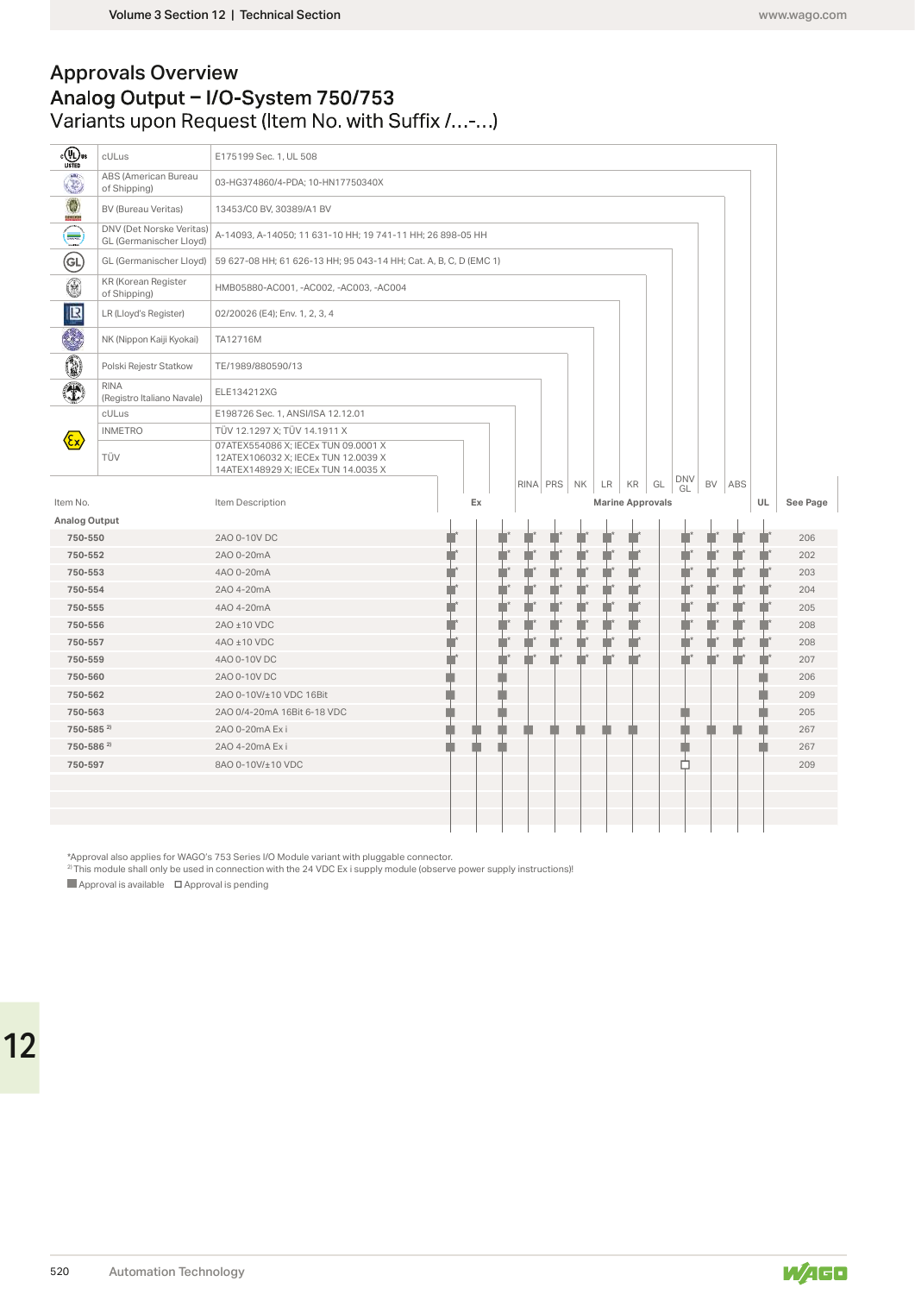#### **Approvals Overview** Analog Output - I/O-System 750/753 Variants upon Request (Item No. with Suffix /...-...)

| $\frac{c}{LISTED}$ us                             | cULus                                               | E175199 Sec. 1, UL 508                                                                                            |                |
|---------------------------------------------------|-----------------------------------------------------|-------------------------------------------------------------------------------------------------------------------|----------------|
| C                                                 | ABS (American Bureau<br>of Shipping)                | 03-HG374860/4-PDA; 10-HN17750340X                                                                                 |                |
| $\circledS$<br><b>ERKEYIN</b>                     | BV (Bureau Veritas)                                 | 13453/C0 BV, 30389/A1 BV                                                                                          |                |
| e                                                 | DNV (Det Norske Veritas)<br>GL (Germanischer Lloyd) | A-14093, A-14050; 11 631-10 HH; 19 741-11 HH; 26 898-05 HH                                                        |                |
| $\bigoplus$                                       |                                                     | GL (Germanischer Lloyd)   59 627-08 HH; 61 626-13 HH; 95 043-14 HH; Cat. A, B, C, D (EMC 1)                       |                |
| ۳                                                 | KR (Korean Register<br>of Shipping)                 | HMB05880-AC001, -AC002, -AC003, -AC004                                                                            |                |
| $\blacksquare$                                    | LR (Lloyd's Register)                               | 02/20026 (E4); Env. 1, 2, 3, 4                                                                                    |                |
| Ġ.                                                | NK (Nippon Kaiji Kyokai)                            | TA12716M                                                                                                          |                |
| ۱                                                 | Polski Rejestr Statkow                              | TE/1989/880590/13                                                                                                 |                |
| $\hat{\mathbf{T}}$                                | <b>RINA</b><br>(Registro Italiano Navale)           | ELE134212XG                                                                                                       |                |
|                                                   | cULus                                               | E198726 Sec. 1, ANSI/ISA 12.12.01                                                                                 |                |
|                                                   | <b>INMETRO</b>                                      | TÜV 12.1297 X; TÜV 14.1911 X                                                                                      |                |
| $\langle \overline{\epsilon_{\mathsf{x}}}\rangle$ | TÜV                                                 | 07ATEX554086 X; IECEx TUN 09.0001 X<br>12ATEX106032 X; IECEx TUN 12.0039 X<br>14ATEX148929 X; IECEx TUN 14.0035 X |                |
|                                                   |                                                     | <b>DNV</b><br>BV<br>RINA PRS NK<br>LR  <br>KR<br>GL<br>ABS                                                        |                |
| Item No.                                          |                                                     | GL<br>Item Description<br>Ex<br><b>Marine Approvals</b>                                                           | UL<br>See Page |
| Analog Output                                     |                                                     |                                                                                                                   |                |
| 750-550                                           |                                                     | 2AO 0-10V DC                                                                                                      | 206<br>n d     |
| 750-552                                           |                                                     | à.<br>Ĥ<br>T<br>2AO 0-20mA                                                                                        | Ĥ<br>202       |
| 750-553                                           |                                                     | Ù<br>Ėľ<br>4AO 0-20mA                                                                                             | ni r<br>203    |
| 750-554                                           |                                                     | Ė<br>È.<br>2AO 4-20mA                                                                                             | n i<br>204     |
| 750-555                                           |                                                     | n i<br>F<br>4AO 4-20mA                                                                                            | T<br>205       |
| 750-556                                           |                                                     | Ù.<br>2AO ±10 VDC<br>n T                                                                                          | n d<br>208     |
| 750-557                                           |                                                     | ×<br>Ù.<br>n 1<br>4AO ±10 VDC<br>Ù.                                                                               | 208            |
| 750-559                                           |                                                     | 4AO 0-10V DC                                                                                                      | 207            |
| 750-560                                           |                                                     | 2AO 0-10V DC                                                                                                      | 206            |
| 750-562<br>750-563                                |                                                     | 2AO 0-10V/±10 VDC 16Bit                                                                                           | 209<br>205     |
| 750-585 <sup>2)</sup>                             |                                                     | 2AO 0/4-20mA 16Bit 6-18 VDC<br>2AO 0-20mA Exi                                                                     | 267            |
| 750-586 <sup>2)</sup>                             |                                                     | 2AO 4-20mA Exi<br>T.                                                                                              | 267            |
| 750-597                                           |                                                     | 户                                                                                                                 | 209            |
|                                                   |                                                     | 8AO 0-10V/±10 VDC                                                                                                 |                |
|                                                   |                                                     |                                                                                                                   |                |
|                                                   |                                                     |                                                                                                                   |                |

\*Approval also applies for WAGO's 753 Series I/O Module variant with pluggable connector.<br><sup>2)</sup> This module shall only be used in connection with the 24 VDC Ex i supply module (observe power supply instructions)!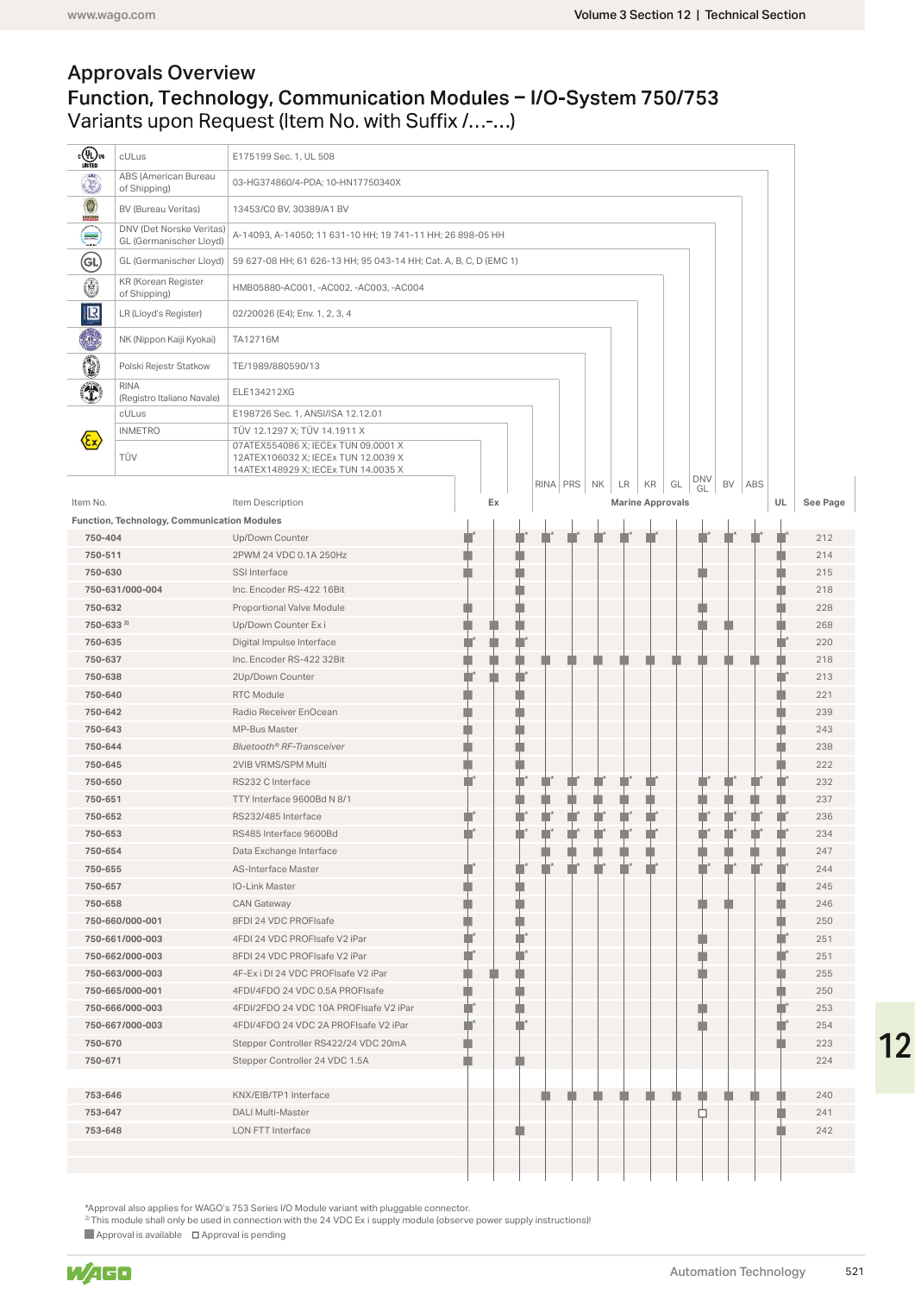## Function, Technology, Communication Modules - I/O-System 750/753<br>Variants upon Request (Item No. with Suffix /...-...) Approvals Overview

| $\epsilon$ (UL) us                      | cULus                                               | E175199 Sec. 1, UL 508                                                                                            |                                                                                                                                                                                                                                |    |     |             |    |                         |           |        |    |                  |          |
|-----------------------------------------|-----------------------------------------------------|-------------------------------------------------------------------------------------------------------------------|--------------------------------------------------------------------------------------------------------------------------------------------------------------------------------------------------------------------------------|----|-----|-------------|----|-------------------------|-----------|--------|----|------------------|----------|
| $\ddot{\odot}$                          | ABS (American Bureau<br>of Shipping)                | 03-HG374860/4-PDA; 10-HN17750340X                                                                                 |                                                                                                                                                                                                                                |    |     |             |    |                         |           |        |    |                  |          |
|                                         | <b>BV (Bureau Veritas)</b>                          | 13453/C0 BV, 30389/A1 BV                                                                                          |                                                                                                                                                                                                                                |    |     |             |    |                         |           |        |    |                  |          |
|                                         | DNV (Det Norske Veritas)<br>GL (Germanischer Lloyd) | A-14093, A-14050; 11 631-10 HH; 19 741-11 HH; 26 898-05 HH                                                        |                                                                                                                                                                                                                                |    |     |             |    |                         |           |        |    |                  |          |
|                                         | GL (Germanischer Lloyd)                             | 59 627-08 HH; 61 626-13 HH; 95 043-14 HH; Cat. A, B, C, D (EMC 1)                                                 |                                                                                                                                                                                                                                |    |     |             |    |                         |           |        |    |                  |          |
| $\bigoplus$<br>۳                        | KR (Korean Register<br>of Shipping)                 | HMB05880-AC001, -AC002, -AC003, -AC004                                                                            |                                                                                                                                                                                                                                |    |     |             |    |                         |           |        |    |                  |          |
| $\blacksquare$                          | LR (Lloyd's Register)                               | 02/20026 (E4); Env. 1, 2, 3, 4                                                                                    |                                                                                                                                                                                                                                |    |     |             |    |                         |           |        |    |                  |          |
| ٩                                       | NK (Nippon Kaiji Kyokai)                            | TA12716M                                                                                                          |                                                                                                                                                                                                                                |    |     |             |    |                         |           |        |    |                  |          |
| 0                                       | Polski Rejestr Statkow                              | TE/1989/880590/13                                                                                                 |                                                                                                                                                                                                                                |    |     |             |    |                         |           |        |    |                  |          |
| $\hat{\mathbf{T}}$                      | <b>RINA</b><br>(Registro Italiano Navale)           | ELE134212XG                                                                                                       |                                                                                                                                                                                                                                |    |     |             |    |                         |           |        |    |                  |          |
|                                         | cULus                                               | E198726 Sec. 1, ANSI/ISA 12.12.01                                                                                 |                                                                                                                                                                                                                                |    |     |             |    |                         |           |        |    |                  |          |
| $\langle \epsilon_{\mathsf{x}} \rangle$ | <b>INMETRO</b>                                      | TÜV 12.1297 X; TÜV 14.1911 X                                                                                      |                                                                                                                                                                                                                                |    |     |             |    |                         |           |        |    |                  |          |
|                                         | TÜV                                                 | 07ATEX554086 X; IECEx TUN 09.0001 X<br>12ATEX106032 X; IECEx TUN 12.0039 X<br>14ATEX148929 X; IECEx TUN 14.0035 X |                                                                                                                                                                                                                                |    |     | RINA PRS NK |    | $LR$ $KR$ $GL$          | DNV<br>GL | BV ABS |    |                  |          |
| Item No.                                |                                                     | Item Description                                                                                                  |                                                                                                                                                                                                                                | Ex |     |             |    | <b>Marine Approvals</b> |           |        | UL |                  | See Page |
|                                         | Function, Technology, Communication Modules         |                                                                                                                   |                                                                                                                                                                                                                                |    |     |             |    |                         |           |        |    |                  |          |
| 750-404                                 |                                                     | Up/Down Counter                                                                                                   |                                                                                                                                                                                                                                |    |     |             |    |                         |           |        |    |                  | 212      |
| 750-511                                 |                                                     | 2PWM 24 VDC 0.1A 250Hz                                                                                            |                                                                                                                                                                                                                                |    |     |             |    |                         |           |        |    |                  | 214      |
| 750-630                                 |                                                     | SSI Interface                                                                                                     |                                                                                                                                                                                                                                |    |     |             |    |                         |           |        |    |                  | 215      |
|                                         | 750-631/000-004                                     | Inc. Encoder RS-422 16Bit                                                                                         |                                                                                                                                                                                                                                |    |     |             |    |                         |           |        |    |                  | 218      |
| 750-632                                 |                                                     | Proportional Valve Module                                                                                         |                                                                                                                                                                                                                                |    |     |             |    |                         |           |        |    |                  | 228      |
|                                         | $750 - 633^{2}$                                     | Up/Down Counter Ex i                                                                                              |                                                                                                                                                                                                                                |    |     |             |    |                         |           |        |    |                  | 268      |
| 750-635                                 |                                                     | Digital Impulse Interface                                                                                         |                                                                                                                                                                                                                                |    |     |             |    |                         |           |        |    |                  | 220      |
|                                         | 750-637                                             | Inc. Encoder RS-422 32Bit                                                                                         |                                                                                                                                                                                                                                |    |     |             |    |                         |           |        |    |                  | 218      |
|                                         | 750-638                                             | 2Up/Down Counter                                                                                                  |                                                                                                                                                                                                                                |    |     |             |    |                         |           |        |    |                  | 213      |
| 750-640                                 |                                                     | RTC Module                                                                                                        |                                                                                                                                                                                                                                |    |     |             |    |                         |           |        |    |                  | 221      |
| 750-642                                 |                                                     | Radio Receiver EnOcean                                                                                            |                                                                                                                                                                                                                                |    |     |             |    |                         |           |        |    |                  | 239      |
| 750-643                                 |                                                     | MP-Bus Master                                                                                                     |                                                                                                                                                                                                                                |    |     |             |    |                         |           |        |    |                  | 243      |
| 750-644                                 |                                                     | Bluetooth® RF-Transceiver                                                                                         |                                                                                                                                                                                                                                |    |     |             |    |                         |           |        |    |                  | 238      |
| 750-645                                 |                                                     | 2VIB VRMS/SPM Multi                                                                                               |                                                                                                                                                                                                                                |    |     |             |    |                         |           |        |    |                  | 222      |
| 750-650                                 |                                                     | RS232 C Interface                                                                                                 |                                                                                                                                                                                                                                |    |     |             |    |                         |           |        |    |                  | 232      |
| 750-651                                 |                                                     | TTY Interface 9600Bd N 8/1                                                                                        |                                                                                                                                                                                                                                |    | ٠   |             | D, | I)<br>D,                |           | n      | D. | n.               | 237      |
| 750-652                                 |                                                     | RS232/485 Interface                                                                                               |                                                                                                                                                                                                                                |    | ٠   | T           | J  | n f                     |           |        | Ħ  | Ħ                | 236      |
| 750-653                                 |                                                     | RS485 Interface 9600Bd                                                                                            | and the control of the control of the control of the control of the control of the control of the control of the control of the control of the control of the control of the control of the control of the control of the cont |    | ٠   |             |    |                         |           |        |    | П                | 234      |
| 750-654                                 |                                                     | Data Exchange Interface                                                                                           |                                                                                                                                                                                                                                |    |     |             |    |                         |           |        |    |                  | 247      |
| 750-655                                 |                                                     | <b>AS-Interface Master</b>                                                                                        |                                                                                                                                                                                                                                |    | - r |             |    |                         |           |        |    | H                | 244      |
| 750-657                                 |                                                     | <b>IO-Link Master</b>                                                                                             |                                                                                                                                                                                                                                |    |     |             |    |                         |           |        |    |                  | 245      |
| 750-658                                 |                                                     | <b>CAN Gateway</b>                                                                                                | <b>Contract Contract Contract Contract Contract Contract Contract Contract Contract Contract Contract Contract Co</b>                                                                                                          |    | ٠   |             |    |                         |           |        |    |                  | 246      |
|                                         | 750-660/000-001                                     | 8FDI 24 VDC PROFIsafe                                                                                             |                                                                                                                                                                                                                                |    |     |             |    |                         |           |        |    |                  | 250      |
|                                         | 750-661/000-003                                     | 4FDI 24 VDC PROFIsafe V2 iPar                                                                                     | a i                                                                                                                                                                                                                            |    | т   |             |    |                         |           |        |    | Ħ                | 251      |
|                                         | 750-662/000-003                                     | 8FDI 24 VDC PROFIsafe V2 iPar                                                                                     | - r                                                                                                                                                                                                                            |    | ٠   |             |    |                         |           |        |    | Ħ                | 251      |
|                                         | 750-663/000-003                                     | 4F-Ex i DI 24 VDC PROFIsafe V2 iPar                                                                               | ۹                                                                                                                                                                                                                              |    |     |             |    |                         |           |        |    | u                | 255      |
|                                         | 750-665/000-001                                     | 4FDI/4FDO 24 VDC 0.5A PROFIsafe                                                                                   |                                                                                                                                                                                                                                |    |     |             |    |                         |           |        |    |                  | 250      |
|                                         | 750-666/000-003                                     | 4FDI/2FDO 24 VDC 10A PROFIsafe V2 iPar                                                                            |                                                                                                                                                                                                                                |    |     |             |    |                         |           |        |    | <b>Francisco</b> | 253      |
|                                         | 750-667/000-003                                     | 4FDI/4FDO 24 VDC 2A PROFIsafe V2 iPar                                                                             | ur.                                                                                                                                                                                                                            |    | ٠   |             |    |                         |           |        |    | Ħ                | 254      |
| 750-670                                 |                                                     | Stepper Controller RS422/24 VDC 20mA                                                                              | <b>Service Service</b>                                                                                                                                                                                                         |    |     |             |    |                         |           |        |    |                  | 223      |
| 750-671                                 |                                                     | Stepper Controller 24 VDC 1.5A                                                                                    | <b>STATE OF STATE OF STATE OF STATE OF STATE OF STATE OF STATE OF STATE OF STATE OF STATE OF STATE OF STATE OF S</b>                                                                                                           |    |     |             |    |                         |           |        |    |                  | 224      |
|                                         |                                                     |                                                                                                                   |                                                                                                                                                                                                                                |    |     |             |    |                         |           |        |    |                  |          |
| 753-646                                 |                                                     | KNX/EIB/TP1 Interface                                                                                             |                                                                                                                                                                                                                                |    |     |             |    |                         |           |        |    |                  | 240      |
| 753-647                                 |                                                     | <b>DALI Multi-Master</b>                                                                                          |                                                                                                                                                                                                                                |    |     |             |    |                         | ◻         |        |    | ٠                | 241      |

\*Approval also applies for WAGO's 753 Series I/O Module variant with pluggable connector.<br><sup>2)</sup> This module shall only be used in connection with the 24 VDC Ex i supply module (observe power supply instructions)!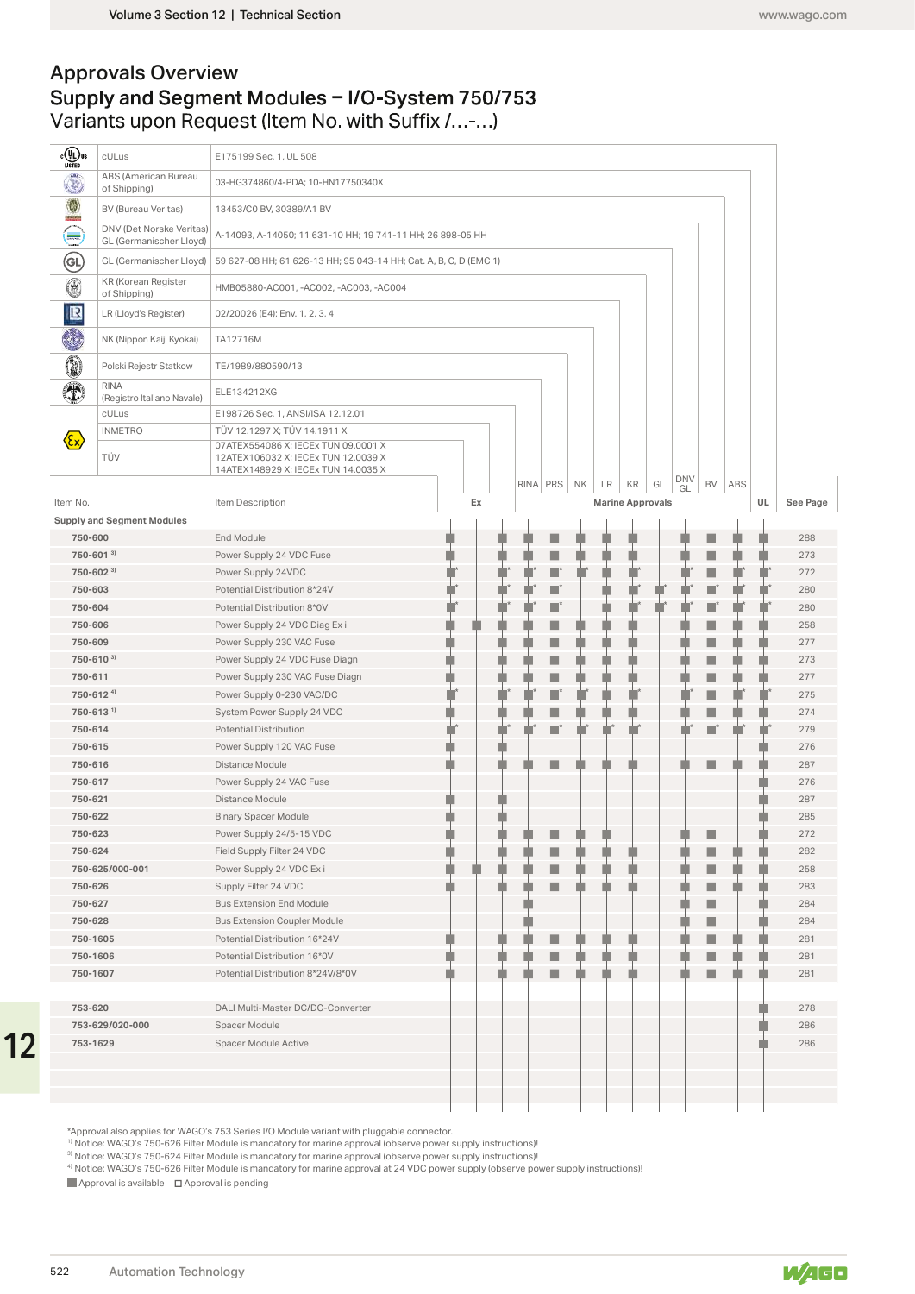#### **Approvals Overview** Supply and Segment Modules - I/O-System 750/753 Variants upon Request (Item No. with Suffix /...-...)

| <b>E</b> <sup>(UL)</sup> <sub>US</sub>  | cULus                                               | E175199 Sec. 1, UL 508                                                                                            |    |  |             |   |                         |    |           |    |      |     |          |
|-----------------------------------------|-----------------------------------------------------|-------------------------------------------------------------------------------------------------------------------|----|--|-------------|---|-------------------------|----|-----------|----|------|-----|----------|
| G                                       | ABS (American Bureau                                | 03-HG374860/4-PDA; 10-HN17750340X                                                                                 |    |  |             |   |                         |    |           |    |      |     |          |
| 0<br>ercon                              | of Shipping)<br>BV (Bureau Veritas)                 | 13453/C0 BV, 30389/A1 BV                                                                                          |    |  |             |   |                         |    |           |    |      |     |          |
| anna.<br>Toma                           | DNV (Det Norske Veritas)<br>GL (Germanischer Lloyd) | A-14093, A-14050; 11 631-10 HH; 19 741-11 HH; 26 898-05 HH                                                        |    |  |             |   |                         |    |           |    |      |     |          |
| (GL)                                    |                                                     | GL (Germanischer Lloyd)   59 627-08 HH; 61 626-13 HH; 95 043-14 HH; Cat. A, B, C, D (EMC 1)                       |    |  |             |   |                         |    |           |    |      |     |          |
| ۳                                       | <b>KR</b> (Korean Register<br>of Shipping)          | HMB05880-AC001, -AC002, -AC003, -AC004                                                                            |    |  |             |   |                         |    |           |    |      |     |          |
| $\blacksquare$                          | LR (Lloyd's Register)                               | 02/20026 (E4); Env. 1, 2, 3, 4                                                                                    |    |  |             |   |                         |    |           |    |      |     |          |
| 織                                       | NK (Nippon Kaiji Kyokai)                            | TA12716M                                                                                                          |    |  |             |   |                         |    |           |    |      |     |          |
| ٩                                       | Polski Rejestr Statkow                              | TE/1989/880590/13                                                                                                 |    |  |             |   |                         |    |           |    |      |     |          |
| $\hat{\mathbf{T}}$                      | <b>RINA</b><br>(Registro Italiano Navale)           | ELE134212XG                                                                                                       |    |  |             |   |                         |    |           |    |      |     |          |
|                                         | cULus                                               | E198726 Sec. 1, ANSI/ISA 12.12.01                                                                                 |    |  |             |   |                         |    |           |    |      |     |          |
|                                         | <b>INMETRO</b>                                      | TÜV 12.1297 X; TÜV 14.1911 X                                                                                      |    |  |             |   |                         |    |           |    |      |     |          |
| $\langle \epsilon_{\mathsf{x}} \rangle$ | TÜV                                                 | 07ATEX554086 X; IECEx TUN 09.0001 X<br>12ATEX106032 X; IECEx TUN 12.0039 X<br>14ATEX148929 X; IECEx TUN 14.0035 X |    |  |             |   |                         |    |           |    |      |     |          |
|                                         |                                                     |                                                                                                                   |    |  | RINA PRS NK |   | $LR$ $KR$               | GL | DNV<br>GL | BV | ABS  |     |          |
| Item No.                                |                                                     | Item Description                                                                                                  | Ex |  |             |   | <b>Marine Approvals</b> |    |           |    |      | UL  | See Page |
|                                         | <b>Supply and Segment Modules</b>                   |                                                                                                                   |    |  |             |   |                         |    |           |    |      |     |          |
| 750-600                                 |                                                     | End Module                                                                                                        |    |  |             |   |                         |    |           |    |      |     | 288      |
|                                         | 750-601 3)                                          | Power Supply 24 VDC Fuse                                                                                          |    |  |             |   |                         |    |           | ÷  | ÷    | ۰   | 273      |
|                                         | $750 - 602$ <sup>3)</sup>                           | Power Supply 24VDC                                                                                                |    |  |             |   |                         |    |           | ŧ  | ¢    | n T | 272      |
| 750-603                                 |                                                     | Potential Distribution 8*24V                                                                                      |    |  |             |   |                         |    |           |    | n an |     | 280      |
| 750-604                                 |                                                     | Potential Distribution 8*0V                                                                                       |    |  |             |   |                         |    | n.        |    | È,   |     | 280      |
| 750-606                                 |                                                     | Power Supply 24 VDC Diag Exi                                                                                      |    |  | n           |   |                         |    | ۰         | Ŵ  | ¢    |     | 258      |
| 750-609                                 |                                                     | Power Supply 230 VAC Fuse                                                                                         |    |  |             |   |                         |    |           | ÷  | Ļ.   |     | 277      |
|                                         | 750-610 3)                                          | Power Supply 24 VDC Fuse Diagn                                                                                    |    |  |             |   | H.                      |    |           | г  | n    |     | 273      |
| 750-611                                 |                                                     | Power Supply 230 VAC Fuse Diagn                                                                                   |    |  | l.          |   |                         |    |           | n  | ú.   |     | 277      |
|                                         | 750-612 <sup>4)</sup>                               | Power Supply 0-230 VAC/DC                                                                                         |    |  |             |   |                         |    | n i       | Ŵ  | Ľ    | П   | 275      |
|                                         | 750-613 <sup>1</sup>                                | System Power Supply 24 VDC                                                                                        |    |  |             |   |                         |    | ٠         | ≢  | Ť.   | ۰   | 274      |
| 750-614                                 |                                                     | <b>Potential Distribution</b>                                                                                     |    |  |             |   |                         |    |           |    |      |     | 279      |
| 750-615                                 |                                                     | Power Supply 120 VAC Fuse                                                                                         |    |  |             |   |                         |    |           |    |      |     | 276      |
| 750-616                                 |                                                     | Distance Module                                                                                                   |    |  |             |   |                         |    |           |    |      |     | 287      |
| 750-617                                 |                                                     | Power Supply 24 VAC Fuse                                                                                          |    |  |             |   |                         |    |           |    |      |     | 276      |
| 750-621                                 |                                                     | Distance Module                                                                                                   |    |  |             |   |                         |    |           |    |      |     | 287      |
| 750-622                                 |                                                     | <b>Binary Spacer Module</b>                                                                                       |    |  |             |   |                         |    |           |    |      |     | 285      |
| 750-623                                 |                                                     | Power Supply 24/5-15 VDC                                                                                          |    |  |             |   |                         |    |           |    |      |     | 272      |
| 750-624                                 |                                                     | Field Supply Filter 24 VDC                                                                                        |    |  |             | ņ |                         |    | n.        | ¢  | u    | Ĥ   | 282      |
|                                         | 750-625/000-001                                     | Power Supply 24 VDC Ex i                                                                                          |    |  | ņ<br>Ņ      |   |                         |    | n.        | ŧ  | Ú.   | n.  | 258      |
| 750-626                                 |                                                     | Supply Filter 24 VDC                                                                                              |    |  |             |   |                         |    |           |    |      |     | 283      |
| 750-627                                 |                                                     | <b>Bus Extension End Module</b>                                                                                   |    |  |             |   |                         |    |           |    |      |     | 284      |
| 750-628                                 |                                                     | <b>Bus Extension Coupler Module</b>                                                                               |    |  |             |   |                         |    |           |    |      |     | 284      |
|                                         | 750-1605                                            | Potential Distribution 16*24V                                                                                     |    |  |             |   |                         |    | ٦         |    |      |     | 281      |
|                                         | 750-1606                                            | Potential Distribution 16*0V                                                                                      |    |  |             |   |                         |    |           |    |      |     | 281      |
|                                         | 750-1607                                            | Potential Distribution 8*24V/8*0V                                                                                 |    |  |             |   |                         |    |           |    |      |     | 281      |
|                                         |                                                     |                                                                                                                   |    |  |             |   |                         |    |           |    |      |     |          |
| 753-620                                 |                                                     | DALI Multi-Master DC/DC-Converter                                                                                 |    |  |             |   |                         |    |           |    |      |     | 278      |
|                                         | 753-629/020-000                                     | Spacer Module                                                                                                     |    |  |             |   |                         |    |           |    |      |     | 286      |
|                                         | 753-1629                                            | Spacer Module Active                                                                                              |    |  |             |   |                         |    |           |    |      |     | 286      |
|                                         |                                                     |                                                                                                                   |    |  |             |   |                         |    |           |    |      |     |          |
|                                         |                                                     |                                                                                                                   |    |  |             |   |                         |    |           |    |      |     |          |
|                                         |                                                     |                                                                                                                   |    |  |             |   |                         |    |           |    |      |     |          |

\*Approval also applies for WAGO's 753 Series I/O Module variant with pluggable connector.<br><sup>1)</sup> Notice: WAGO's 750-626 Filter Module is mandatory for marine approval (observe power supply instructions)!<br><sup>3)</sup> Notice: WAGO's

4) Notice: WAGO's 750-626 Filter Module is mandatory for marine approval at 24 VDC power supply (observe power supply instructions)!

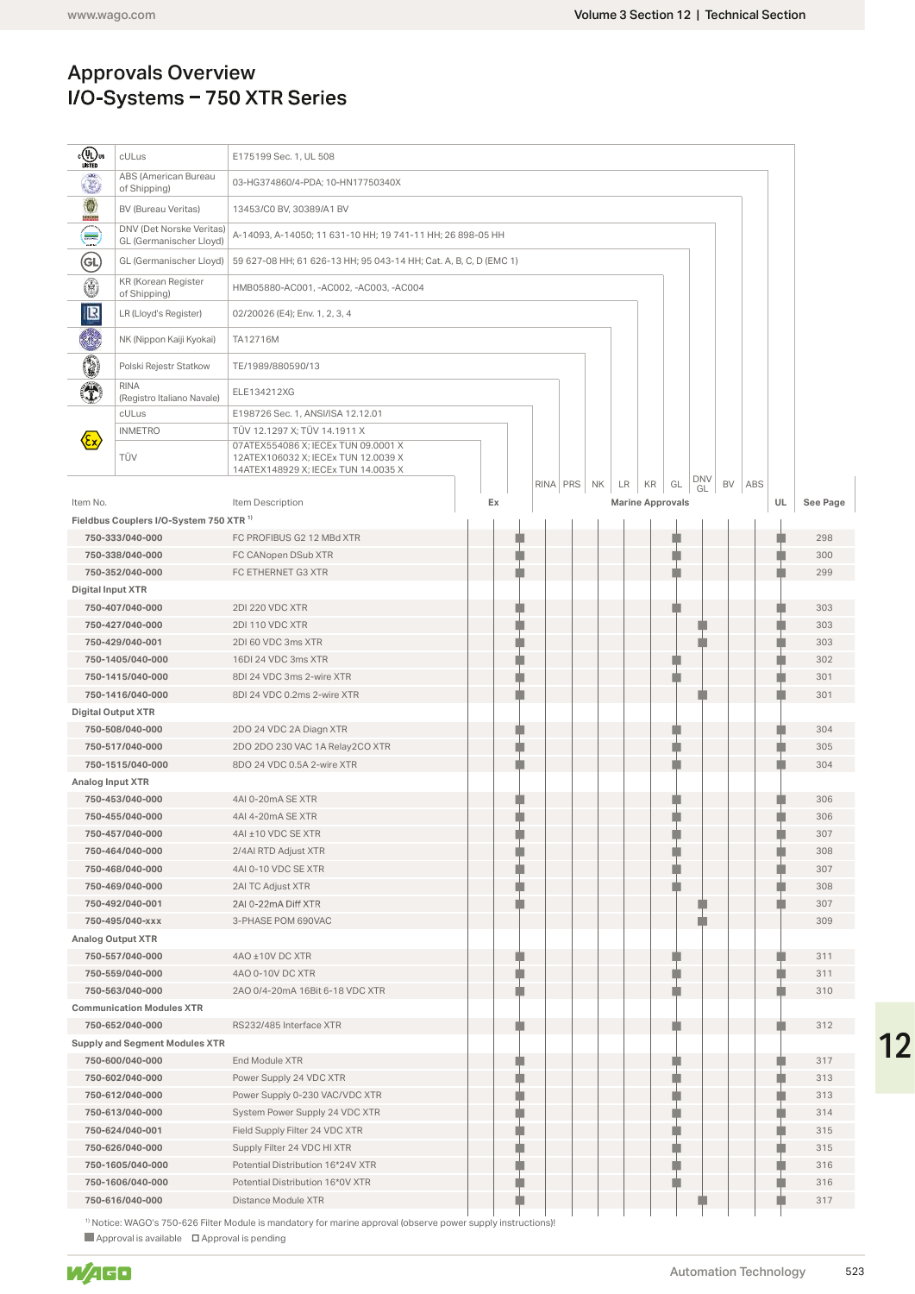## Approvals Overview<br>I/O-Systems - 750 XTR Series

| www.wago.com                      |                                                                       |                                                                                                                                                   |    |                                                                                                                      |             |                                     | Volume 3 Section 12   Technical Section                                                                              |        |    |            |
|-----------------------------------|-----------------------------------------------------------------------|---------------------------------------------------------------------------------------------------------------------------------------------------|----|----------------------------------------------------------------------------------------------------------------------|-------------|-------------------------------------|----------------------------------------------------------------------------------------------------------------------|--------|----|------------|
|                                   | <b>Approvals Overview</b>                                             | I/O-Systems - 750 XTR Series                                                                                                                      |    |                                                                                                                      |             |                                     |                                                                                                                      |        |    |            |
| $c$ (U) us<br>Listed              | cULus                                                                 | E175199 Sec. 1, UL 508                                                                                                                            |    |                                                                                                                      |             |                                     |                                                                                                                      |        |    |            |
| Ō                                 | ABS (American Bureau                                                  | 03-HG374860/4-PDA; 10-HN17750340X                                                                                                                 |    |                                                                                                                      |             |                                     |                                                                                                                      |        |    |            |
|                                   | of Shipping)                                                          |                                                                                                                                                   |    |                                                                                                                      |             |                                     |                                                                                                                      |        |    |            |
| $\bullet$                         | <b>BV (Bureau Veritas)</b><br>DNV (Det Norske Veritas)                | 13453/C0 BV, 30389/A1 BV                                                                                                                          |    |                                                                                                                      |             |                                     |                                                                                                                      |        |    |            |
| $\bigoplus$                       | GL (Germanischer Lloyd)                                               | A-14093, A-14050; 11 631-10 HH; 19 741-11 HH; 26 898-05 HH                                                                                        |    |                                                                                                                      |             |                                     |                                                                                                                      |        |    |            |
| $\circledast$                     | GL (Germanischer Lloyd)                                               | 59 627-08 HH; 61 626-13 HH; 95 043-14 HH; Cat. A, B, C, D (EMC 1)                                                                                 |    |                                                                                                                      |             |                                     |                                                                                                                      |        |    |            |
| 0                                 | KR (Korean Register<br>of Shipping)                                   | HMB05880-AC001, -AC002, -AC003, -AC004                                                                                                            |    |                                                                                                                      |             |                                     |                                                                                                                      |        |    |            |
| $\blacksquare$                    | LR (Lloyd's Register)                                                 | 02/20026 (E4); Env. 1, 2, 3, 4                                                                                                                    |    |                                                                                                                      |             |                                     |                                                                                                                      |        |    |            |
| ٩                                 | NK (Nippon Kaiji Kyokai)                                              | TA12716M                                                                                                                                          |    |                                                                                                                      |             |                                     |                                                                                                                      |        |    |            |
| 0                                 | Polski Rejestr Statkow                                                | TE/1989/880590/13                                                                                                                                 |    |                                                                                                                      |             |                                     |                                                                                                                      |        |    |            |
| $\mathbf{T}$                      | <b>RINA</b><br>(Registro Italiano Navale)<br>cULus                    | ELE134212XG<br>E198726 Sec. 1, ANSI/ISA 12.12.01                                                                                                  |    |                                                                                                                      |             |                                     |                                                                                                                      |        |    |            |
| $\langle \! \! \! \infty \rangle$ | <b>INMETRO</b><br>TÜV                                                 | TÜV 12.1297 X; TÜV 14.1911 X<br>07ATEX554086 X; IECEx TUN 09.0001 X<br>12ATEX106032 X; IECEx TUN 12.0039 X<br>14ATEX148929 X; IECEx TUN 14.0035 X |    |                                                                                                                      |             |                                     |                                                                                                                      |        |    |            |
| Item No.                          |                                                                       | Item Description                                                                                                                                  | Ex |                                                                                                                      | RINA PRS NK | KR<br>LR<br><b>Marine Approvals</b> | DNV<br>GL<br>GL                                                                                                      | BV ABS | UL | See Page   |
|                                   | Fieldbus Couplers I/O-System 750 XTR <sup>1)</sup><br>750-333/040-000 | FC PROFIBUS G2 12 MBd XTR                                                                                                                         |    |                                                                                                                      |             |                                     |                                                                                                                      |        |    | 298        |
|                                   | 750-338/040-000                                                       | FC CANopen DSub XTR                                                                                                                               |    |                                                                                                                      |             |                                     |                                                                                                                      |        |    | 300        |
|                                   | 750-352/040-000                                                       | FC ETHERNET G3 XTR                                                                                                                                |    |                                                                                                                      |             |                                     |                                                                                                                      |        |    | 299        |
| <b>Digital Input XTR</b>          |                                                                       |                                                                                                                                                   |    |                                                                                                                      |             |                                     |                                                                                                                      |        |    |            |
|                                   | 750-407/040-000                                                       | 2DI 220 VDC XTR                                                                                                                                   |    |                                                                                                                      |             |                                     |                                                                                                                      |        |    | 303        |
|                                   | 750-427/040-000<br>750-429/040-001                                    | 2DI 110 VDC XTR<br>2DI 60 VDC 3ms XTR                                                                                                             |    |                                                                                                                      |             |                                     |                                                                                                                      |        |    | 303<br>303 |
|                                   | 750-1405/040-000                                                      | 16DI 24 VDC 3ms XTR                                                                                                                               |    |                                                                                                                      |             |                                     |                                                                                                                      |        |    | 302        |
|                                   | 750-1415/040-000                                                      | 8DI 24 VDC 3ms 2-wire XTR                                                                                                                         |    |                                                                                                                      |             |                                     |                                                                                                                      |        |    | 301        |
|                                   | 750-1416/040-000                                                      | 8DI 24 VDC 0.2ms 2-wire XTR                                                                                                                       |    |                                                                                                                      |             |                                     |                                                                                                                      |        |    | 301        |
|                                   | <b>Digital Output XTR</b>                                             |                                                                                                                                                   |    |                                                                                                                      |             |                                     |                                                                                                                      |        |    |            |
|                                   | 750-508/040-000                                                       | 2DO 24 VDC 2A Diagn XTR                                                                                                                           |    |                                                                                                                      |             |                                     |                                                                                                                      |        |    | 304        |
|                                   | 750-517/040-000<br>750-1515/040-000                                   | 2DO 2DO 230 VAC 1A Relay2CO XTR<br>8DO 24 VDC 0.5A 2-wire XTR                                                                                     |    |                                                                                                                      |             |                                     |                                                                                                                      |        |    | 305<br>304 |
| Analog Input XTR                  |                                                                       |                                                                                                                                                   |    |                                                                                                                      |             |                                     |                                                                                                                      |        |    |            |
|                                   | 750-453/040-000                                                       | 4AI 0-20mA SE XTR                                                                                                                                 |    |                                                                                                                      |             |                                     |                                                                                                                      |        | ۳  | 306        |
|                                   | 750-455/040-000                                                       | 4AI 4-20mA SE XTR                                                                                                                                 |    | H                                                                                                                    |             |                                     |                                                                                                                      |        |    | 306        |
|                                   | 750-457/040-000                                                       | 4AI ±10 VDC SE XTR                                                                                                                                |    | H                                                                                                                    |             |                                     |                                                                                                                      |        |    | 307        |
|                                   | 750-464/040-000                                                       | 2/4AI RTD Adjust XTR                                                                                                                              |    | H                                                                                                                    |             |                                     |                                                                                                                      |        | ٠  | 308        |
|                                   | 750-468/040-000<br>750-469/040-000                                    | 4AI 0-10 VDC SEXTR<br>2AI TC Adjust XTR                                                                                                           |    | г                                                                                                                    |             |                                     | П                                                                                                                    |        | ٠  | 307<br>308 |
|                                   | 750-492/040-001                                                       | 2AI 0-22mA Diff XTR                                                                                                                               |    |                                                                                                                      |             |                                     |                                                                                                                      |        |    | 307        |
|                                   | 750-495/040-xxx                                                       | 3-PHASE POM 690VAC                                                                                                                                |    |                                                                                                                      |             |                                     |                                                                                                                      |        |    | 309        |
|                                   | <b>Analog Output XTR</b>                                              |                                                                                                                                                   |    |                                                                                                                      |             |                                     |                                                                                                                      |        |    |            |
|                                   | 750-557/040-000                                                       | 4AO ±10V DC XTR                                                                                                                                   |    |                                                                                                                      |             |                                     |                                                                                                                      |        |    | 311        |
|                                   | 750-559/040-000                                                       | 4AO 0-10V DC XTR                                                                                                                                  |    | <b>STATE OF STATE OF STATE OF STATE OF STATE OF STATE OF STATE OF STATE OF STATE OF STATE OF STATE OF STATE OF S</b> |             |                                     |                                                                                                                      |        | ×  | 311        |
|                                   | 750-563/040-000                                                       | 2AO 0/4-20mA 16Bit 6-18 VDC XTR                                                                                                                   |    |                                                                                                                      |             |                                     |                                                                                                                      |        |    | 310        |
|                                   | <b>Communication Modules XTR</b><br>750-652/040-000                   | RS232/485 Interface XTR                                                                                                                           |    |                                                                                                                      |             |                                     |                                                                                                                      |        | ٠  | 312        |
|                                   | <b>Supply and Segment Modules XTR</b>                                 |                                                                                                                                                   |    |                                                                                                                      |             |                                     |                                                                                                                      |        |    |            |
|                                   | 750-600/040-000                                                       | End Module XTR                                                                                                                                    |    |                                                                                                                      |             |                                     |                                                                                                                      |        |    | 317        |
|                                   | 750-602/040-000                                                       | Power Supply 24 VDC XTR                                                                                                                           |    |                                                                                                                      |             |                                     |                                                                                                                      |        |    | 313        |
|                                   | 750-612/040-000                                                       | Power Supply 0-230 VAC/VDC XTR                                                                                                                    |    |                                                                                                                      |             |                                     |                                                                                                                      |        | n  | 313        |
|                                   | 750-613/040-000                                                       | System Power Supply 24 VDC XTR                                                                                                                    |    | n                                                                                                                    |             |                                     |                                                                                                                      |        | n  | 314        |
|                                   | 750-624/040-001                                                       | Field Supply Filter 24 VDC XTR                                                                                                                    |    | L,                                                                                                                   |             |                                     | <b>STATE OF STATE OF STATE OF STATE OF STATE OF STATE OF STATE OF STATE OF STATE OF STATE OF STATE OF STATE OF S</b> |        | ٣  | 315        |
|                                   | 750-626/040-000                                                       | Supply Filter 24 VDC HI XTR                                                                                                                       |    | H                                                                                                                    |             |                                     |                                                                                                                      |        |    | 315        |
|                                   | 750-1605/040-000                                                      | Potential Distribution 16*24V XTR                                                                                                                 |    |                                                                                                                      |             |                                     |                                                                                                                      |        |    | 316        |
|                                   | 750-1606/040-000                                                      | Potential Distribution 16*0V XTR                                                                                                                  |    |                                                                                                                      |             |                                     |                                                                                                                      |        |    | 316        |
|                                   | 750-616/040-000                                                       | Distance Module XTR                                                                                                                               |    |                                                                                                                      |             |                                     |                                                                                                                      |        |    | 317        |

1) Notice: WAGO's 750-626 Filter Module is mandatory for marine approval (observe power supply instructions)!

 $\blacksquare$  Approval is available  $\blacksquare$  Approval is pending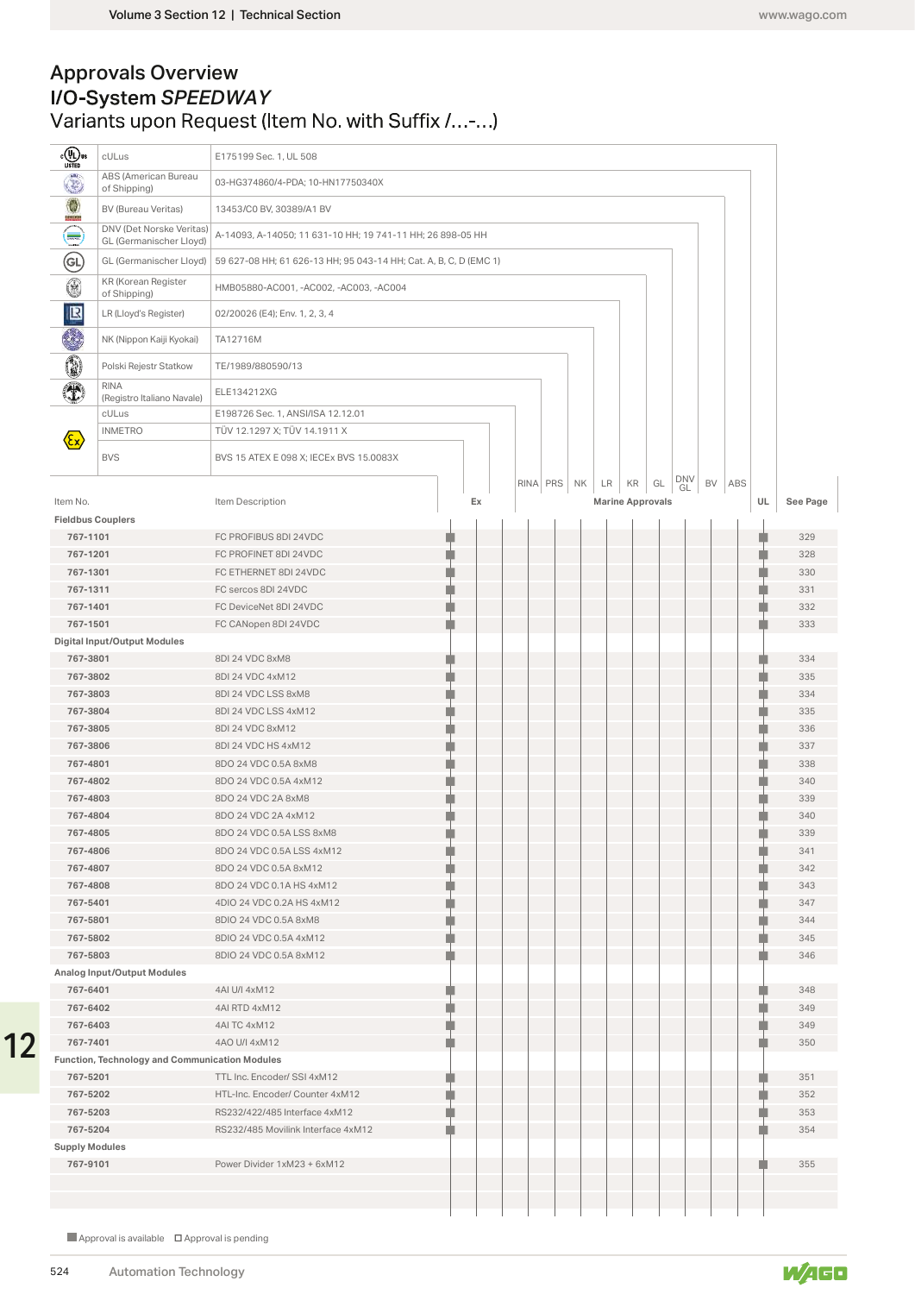#### Variants upon Request (Item No. with Suffix /...-...) Approvals Overview I/O-System SPEEDWAY

| <b>E</b> UD <sub>US</sub>       | cULus                                          | E175199 Sec. 1, UL 508                                            |   |    |             |                                  |    |                       |                                                                                                                      |            |
|---------------------------------|------------------------------------------------|-------------------------------------------------------------------|---|----|-------------|----------------------------------|----|-----------------------|----------------------------------------------------------------------------------------------------------------------|------------|
| ٥                               | ABS (American Bureau<br>of Shipping)           | 03-HG374860/4-PDA; 10-HN17750340X                                 |   |    |             |                                  |    |                       |                                                                                                                      |            |
|                                 | BV (Bureau Veritas)                            | 13453/C0 BV, 30389/A1 BV                                          |   |    |             |                                  |    |                       |                                                                                                                      |            |
| $\subseteq$                     | DNV (Det Norske Veritas)                       | A-14093, A-14050; 11 631-10 HH; 19 741-11 HH; 26 898-05 HH        |   |    |             |                                  |    |                       |                                                                                                                      |            |
|                                 | GL (Germanischer Lloyd)                        |                                                                   |   |    |             |                                  |    |                       |                                                                                                                      |            |
| $\bigoplus$                     | GL (Germanischer Lloyd)<br>KR (Korean Register | 59 627-08 HH; 61 626-13 HH; 95 043-14 HH; Cat. A, B, C, D (EMC 1) |   |    |             |                                  |    |                       |                                                                                                                      |            |
| ۳                               | of Shipping)                                   | HMB05880-AC001, -AC002, -AC003, -AC004                            |   |    |             |                                  |    |                       |                                                                                                                      |            |
| $\mathbb{B}$                    | LR (Lloyd's Register)                          | 02/20026 (E4); Env. 1, 2, 3, 4                                    |   |    |             |                                  |    |                       |                                                                                                                      |            |
|                                 | NK (Nippon Kaiji Kyokai)                       | TA12716M                                                          |   |    |             |                                  |    |                       |                                                                                                                      |            |
| 0                               | Polski Rejestr Statkow                         | TE/1989/880590/13                                                 |   |    |             |                                  |    |                       |                                                                                                                      |            |
| $\overline{\mathbf{r}}$         | RINA<br>(Registro Italiano Navale)             | ELE134212XG                                                       |   |    |             |                                  |    |                       |                                                                                                                      |            |
|                                 | cULus                                          | E198726 Sec. 1, ANSI/ISA 12.12.01                                 |   |    |             |                                  |    |                       |                                                                                                                      |            |
| $\langle \epsilon_{\mathsf{x}}$ | <b>INMETRO</b>                                 | TÜV 12.1297 X; TÜV 14.1911 X                                      |   |    |             |                                  |    |                       |                                                                                                                      |            |
|                                 | <b>BVS</b>                                     | BVS 15 ATEX E 098 X; IECEx BVS 15.0083X                           |   |    |             |                                  |    |                       |                                                                                                                      |            |
| Item No.                        | <b>Fieldbus Couplers</b>                       | Item Description                                                  |   | Ex | RINA PRS NK | LR KR<br><b>Marine Approvals</b> | GL | DNV<br>GL<br>BV   ABS | UL                                                                                                                   | See Page   |
| 767-1101                        |                                                | FC PROFIBUS 8DI 24VDC                                             |   |    |             |                                  |    |                       |                                                                                                                      | 329        |
| 767-1201                        |                                                | FC PROFINET 8DI 24VDC                                             |   |    |             |                                  |    |                       |                                                                                                                      | 328        |
| 767-1301                        |                                                | FC ETHERNET 8DI 24VDC                                             |   |    |             |                                  |    |                       |                                                                                                                      | 330        |
| 767-1311                        |                                                | FC sercos 8DI 24VDC                                               |   |    |             |                                  |    |                       |                                                                                                                      | 331        |
| 767-1401<br>767-1501            |                                                | FC DeviceNet 8DI 24VDC<br>FC CANopen 8DI 24VDC                    |   |    |             |                                  |    |                       |                                                                                                                      | 332<br>333 |
|                                 | <b>Digital Input/Output Modules</b>            |                                                                   |   |    |             |                                  |    |                       |                                                                                                                      |            |
| 767-3801                        |                                                | 8DI 24 VDC 8xM8                                                   |   |    |             |                                  |    |                       |                                                                                                                      | 334        |
| 767-3802                        |                                                | 8DI 24 VDC 4xM12                                                  |   |    |             |                                  |    |                       |                                                                                                                      | 335        |
| 767-3803                        |                                                | 8DI 24 VDC LSS 8xM8                                               |   |    |             |                                  |    |                       |                                                                                                                      | 334        |
| 767-3804                        |                                                | 8DI 24 VDC LSS 4xM12                                              |   |    |             |                                  |    |                       |                                                                                                                      | 335        |
| 767-3805                        |                                                | 8DI 24 VDC 8xM12                                                  |   |    |             |                                  |    |                       |                                                                                                                      | 336        |
| 767-3806<br>767-4801            |                                                | 8DI 24 VDC HS 4xM12<br>8DO 24 VDC 0.5A 8xM8                       |   |    |             |                                  |    |                       |                                                                                                                      | 337<br>338 |
| 767-4802                        |                                                | 8DO 24 VDC 0.5A 4xM12                                             |   |    |             |                                  |    |                       |                                                                                                                      | 340        |
| 767-4803                        |                                                | 8DO 24 VDC 2A 8xM8                                                | ٣ |    |             |                                  |    |                       | ÷                                                                                                                    | 339        |
| 767-4804                        |                                                | 8DO 24 VDC 2A 4xM12                                               |   |    |             |                                  |    |                       |                                                                                                                      | 340        |
| 767-4805                        |                                                | 8DO 24 VDC 0.5A LSS 8xM8                                          |   |    |             |                                  |    |                       |                                                                                                                      | 339        |
| 767-4806                        |                                                | 8DO 24 VDC 0.5A LSS 4xM12                                         |   |    |             |                                  |    |                       |                                                                                                                      | 341        |
| 767-4807                        |                                                | 8DO 24 VDC 0.5A 8xM12                                             |   |    |             |                                  |    |                       |                                                                                                                      | 342        |
| 767-4808                        |                                                | 8DO 24 VDC 0.1A HS 4xM12                                          |   |    |             |                                  |    |                       |                                                                                                                      | 343        |
| 767-5401<br>767-5801            |                                                | 4DIO 24 VDC 0.2A HS 4xM12<br>8DIO 24 VDC 0.5A 8xM8                |   |    |             |                                  |    |                       |                                                                                                                      | 347<br>344 |
| 767-5802                        |                                                | 8DIO 24 VDC 0.5A 4xM12                                            | ņ |    |             |                                  |    |                       |                                                                                                                      | 345        |
| 767-5803                        |                                                | 8DIO 24 VDC 0.5A 8xM12                                            | ٠ |    |             |                                  |    |                       | n,                                                                                                                   | 346        |
|                                 | Analog Input/Output Modules                    |                                                                   |   |    |             |                                  |    |                       |                                                                                                                      |            |
| 767-6401                        |                                                | 4AI U/I 4xM12                                                     |   |    |             |                                  |    |                       |                                                                                                                      | 348        |
| 767-6402                        |                                                | 4AI RTD 4xM12                                                     |   |    |             |                                  |    |                       |                                                                                                                      | 349        |
| 767-6403                        |                                                | 4AI TC 4xM12                                                      | ņ |    |             |                                  |    |                       | <b>Service Service</b>                                                                                               | 349        |
| 767-7401                        |                                                | 4AO U/I 4xM12                                                     | ٠ |    |             |                                  |    |                       |                                                                                                                      | 350        |
|                                 | Function, Technology and Communication Modules |                                                                   |   |    |             |                                  |    |                       |                                                                                                                      |            |
| 767-5201                        |                                                | TTL Inc. Encoder/ SSI 4xM12                                       |   |    |             |                                  |    |                       |                                                                                                                      | 351        |
| 767-5202<br>767-5203            |                                                | HTL-Inc. Encoder/ Counter 4xM12<br>RS232/422/485 Interface 4xM12  | ■ |    |             |                                  |    |                       | <b>STATE OF STATE OF STATE OF STATE OF STATE OF STATE OF STATE OF STATE OF STATE OF STATE OF STATE OF STATE OF S</b> | 352<br>353 |
| 767-5204                        |                                                | RS232/485 Movilink Interface 4xM12                                | ■ |    |             |                                  |    |                       |                                                                                                                      | 354        |
|                                 | <b>Supply Modules</b>                          |                                                                   |   |    |             |                                  |    |                       |                                                                                                                      |            |
| 767-9101                        |                                                | Power Divider 1xM23 + 6xM12                                       |   |    |             |                                  |    |                       |                                                                                                                      | 355        |